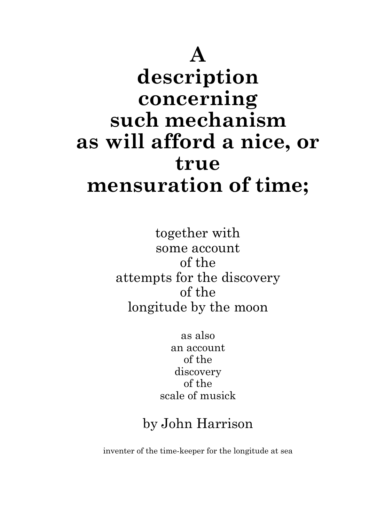# A description concerning such mechanism as will afford a nice, or true mensuration of time;

together with some account of the attempts for the discovery of the longitude by the moon

> as also an account of the discovery of the scale of musick

# by John Harrison

inventer of the time-keeper for the longitude at sea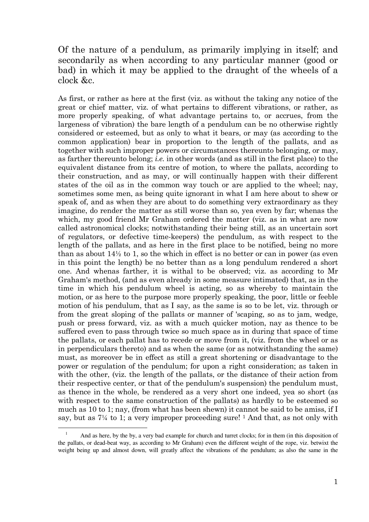# Of the nature of a pendulum, as primarily implying in itself; and secondarily as when according to any particular manner (good or bad) in which it may be applied to the draught of the wheels of a clock &c.

As first, or rather as here at the first (viz. as without the taking any notice of the great or chief matter, viz. of what pertains to different vibrations, or rather, as more properly speaking, of what advantage pertains to, or accrues, from the largeness of vibration) the bare length of a pendulum can be no otherwise rightly considered or esteemed, but as only to what it bears, or may (as according to the common application) bear in proportion to the length of the pallats, and as together with such improper powers or circumstances thereunto belonging, or may, as farther thereunto belong; i.e. in other words (and as still in the first place) to the equivalent distance from its centre of motion, to where the pallats, according to their construction, and as may, or will continually happen with their different states of the oil as in the common way touch or are applied to the wheel; nay, sometimes some men, as being quite ignorant in what I am here about to shew or speak of, and as when they are about to do something very extraordinary as they imagine, do render the matter as still worse than so, yea even by far; whenas the which, my good friend Mr Graham ordered the matter (viz. as in what are now called astronomical clocks; notwithstanding their being still, as an uncertain sort of regulators, or defective time-keepers) the pendulum, as with respect to the length of the pallats, and as here in the first place to be notified, being no more than as about 14½ to 1, so the which in effect is no better or can in power (as even in this point the length) be no better than as a long pendulum rendered a short one. And whenas farther, it is withal to be observed; viz. as according to Mr Graham's method, (and as even already in some measure intimated) that, as in the time in which his pendulum wheel is acting, so as whereby to maintain the motion, or as here to the purpose more properly speaking, the poor, little or feeble motion of his pendulum, that as I say, as the same is so to be let, viz. through or from the great sloping of the pallats or manner of 'scaping, so as to jam, wedge, push or press forward, viz. as with a much quicker motion, nay as thence to be suffered even to pass through twice so much space as in during that space of time the pallats, or each pallat has to recede or move from it, (viz. from the wheel or as in perpendiculars thereto) and as when the same (or as notwithstanding the same) must, as moreover be in effect as still a great shortening or disadvantage to the power or regulation of the pendulum; for upon a right consideration; as taken in with the other, (viz. the length of the pallats, or the distance of their action from their respective center, or that of the pendulum's suspension) the pendulum must, as thence in the whole, be rendered as a very short one indeed, yea so short (as with respect to the same construction of the pallats) as hardly to be esteemed so much as 10 to 1; nay, (from what has been shewn) it cannot be said to be amiss, if I say, but as 7¼ to 1; a very improper proceeding sure! 1 And that, as not only with

<sup>1</sup> And as here, by the by, a very bad example for church and turret clocks; for in them (in this disposition of the pallats, or dead-beat way, as according to Mr Graham) even the different weight of the rope, viz. betwixt the weight being up and almost down, will greatly affect the vibrations of the pendulum; as also the same in the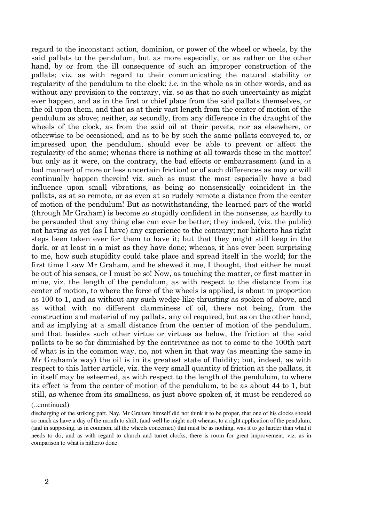regard to the inconstant action, dominion, or power of the wheel or wheels, by the said pallats to the pendulum, but as more especially, or as rather on the other hand, by or from the ill consequence of such an improper construction of the pallats; viz. as with regard to their communicating the natural stability or regularity of the pendulum to the clock; i.e. in the whole as in other words, and as without any provision to the contrary, viz. so as that no such uncertainty as might ever happen, and as in the first or chief place from the said pallats themselves, or the oil upon them, and that as at their vast length from the center of motion of the pendulum as above; neither, as secondly, from any difference in the draught of the wheels of the clock, as from the said oil at their pevets, nor as elsewhere, or otherwise to be occasioned, and as to be by such the same pallats conveyed to, or impressed upon the pendulum, should ever be able to prevent or affect the regularity of the same; whenas there is nothing at all towards these in the matter! but only as it were, on the contrary, the bad effects or embarrassment (and in a bad manner) of more or less uncertain friction! or of such differences as may or will continually happen therein! viz. such as must the most especially have a bad influence upon small vibrations, as being so nonsensically coincident in the pallats, as at so remote, or as even at so rudely remote a distance from the center of motion of the pendulum! But as notwithstanding, the learned part of the world (through Mr Graham) is become so stupidly confident in the nonsense, as hardly to be persuaded that any thing else can ever be better; they indeed, (viz. the public) not having as yet (as I have) any experience to the contrary; nor hitherto has right steps been taken ever for them to have it; but that they might still keep in the dark, or at least in a mist as they have done; whenas, it has ever been surprising to me, how such stupidity could take place and spread itself in the world; for the first time I saw Mr Graham, and he shewed it me, I thought, that either he must be out of his senses, or I must be so! Now, as touching the matter, or first matter in mine, viz. the length of the pendulum, as with respect to the distance from its center of motion, to where the force of the wheels is applied, is about in proportion as 100 to 1, and as without any such wedge-like thrusting as spoken of above, and as withal with no different clamminess of oil, there not being, from the construction and material of my pallats, any oil required, but as on the other hand, and as implying at a small distance from the center of motion of the pendulum, and that besides such other virtue or virtues as below, the friction at the said pallats to be so far diminished by the contrivance as not to come to the 100th part of what is in the common way, no, not when in that way (as meaning the same in Mr Graham's way) the oil is in its greatest state of fluidity; but, indeed, as with respect to this latter article, viz. the very small quantity of friction at the pallats, it in itself may be esteemed, as with respect to the length of the pendulum, to where its effect is from the center of motion of the pendulum, to be as about 44 to 1, but still, as whence from its smallness, as just above spoken of, it must be rendered so

#### (..continued)

discharging of the striking part. Nay, Mr Graham himself did not think it to be proper, that one of his clocks should so much as have a day of the month to shift, (and well he might not) whenas, to a right application of the pendulum, (and in supposing, as in common, all the wheels concerned) that must be as nothing, was it to go harder than what it needs to do; and as with regard to church and turret clocks, there is room for great improvement, viz. as in comparison to what is hitherto done.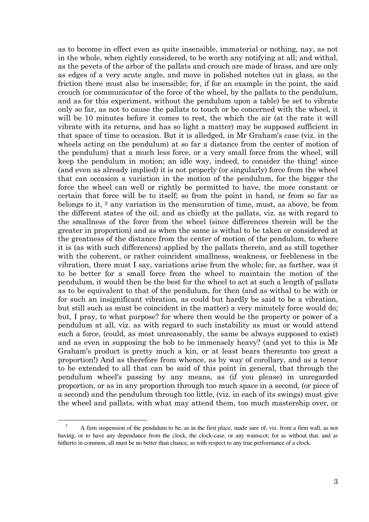as to become in effect even as quite insensible, immaterial or nothing, nay, as not in the whole, when rightly considered, to be worth any notifying at all; and withal, as the pevets of the arbor of the pallats and crouch are made of brass, and are only as edges of a very acute angle, and move in polished notches cut in glass, so the friction there must also be insensible; for, if for an example in the point, the said crouch (or communicator of the force of the wheel, by the pallats to the pendulum, and as for this experiment, without the pendulum upon a table) be set to vibrate only so far, as not to cause the pallats to touch or be concerned with the wheel, it will be 10 minutes before it comes to rest, the which the air (at the rate it will vibrate with its returns, and has so light a matter) may be supposed sufficient in that space of time to occasion. But it is alledged, in Mr Graham's case (viz. in the wheels acting on the pendulum) at so far a distance from the center of motion of the pendulum) that a much less force, or a very small force from the wheel, will keep the pendulum in motion; an idle way, indeed, to consider the thing! since (and even as already implied) it is not properly (or singularly) force from the wheel that can occasion a variation in the motion of the pendulum, for the bigger the force the wheel can well or rightly be permitted to have, the more constant or certain that force will be to itself; so from the point in hand, or from so far as belongs to it, 2 any variation in the mensuration of time, must, as above, be from the different states of the oil, and as chiefly at the pallats, viz. as with regard to the smallness of the force from the wheel (since differences therein will be the greater in proportion) and as when the same is withal to be taken or considered at the greatness of the distance from the center of motion of the pendulum, to where it is (as with such differences) applied by the pallats thereto, and as still together with the coherent, or rather coincident smallness, weakness, or feebleness in the vibration, there must I say, variations arise from the whole; for, as farther, was it to be better for a small force from the wheel to maintain the motion of the pendulum, it would then be the best for the wheel to act at such a length of pallats as to be equivalent to that of the pendulum, for then (and as withal to be with or for such an insignificant vibration, as could but hardly be said to be a vibration, but still such as must be coincident in the matter) a very minutely force would do; but, I pray, to what purpose? for where then would be the property or power of a pendulum at all, viz. as with regard to such instability as must or would attend such a force, (could, as most unreasonably, the same be always supposed to exist) and as even in supposing the bob to be immensely heavy? (and yet to this is Mr Graham's product is pretty much a kin, or at least bears thereunto too great a proportion!) And as therefore from whence, as by way of corollary, and as a tenor to be extended to all that can be said of this point in general, that through the pendulum wheel's passing by any means, as (if you please) in unregarded proportion, or as in any proportion through too much space in a second, (or piece of a second) and the pendulum through too little, (viz. in each of its swings) must give the wheel and pallats, with what may attend them, too much mastership over, or

<sup>2</sup> A firm suspension of the pendulum to be, as in the first place, made sure of, viz. from a firm wall, as not having, or to have any dependance from the clock, the clock-case, or any wainscot; for as without that, and as hitherto in common, all must be no better than chance, as with respect to any true performance of a clock.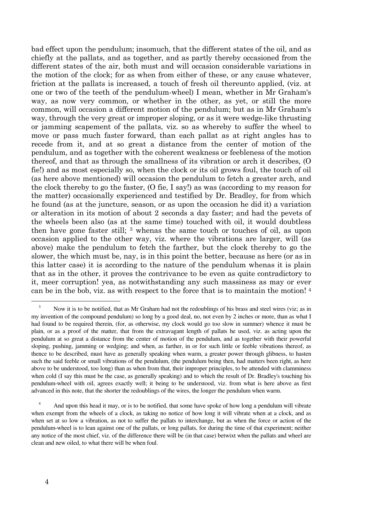bad effect upon the pendulum; insomuch, that the different states of the oil, and as chiefly at the pallats, and as together, and as partly thereby occasioned from the different states of the air, both must and will occasion considerable variations in the motion of the clock; for as when from either of these, or any cause whatever, friction at the pallats is increased, a touch of fresh oil thereunto applied, (viz. at one or two of the teeth of the pendulum-wheel) I mean, whether in Mr Graham's way, as now very common, or whether in the other, as yet, or still the more common, will occasion a different motion of the pendulum; but as in Mr Graham's way, through the very great or improper sloping, or as it were wedge-like thrusting or jamming scapement of the pallats, viz. so as whereby to suffer the wheel to move or pass much faster forward, than each pallat as at right angles has to recede from it, and at so great a distance from the center of motion of the pendulum, and as together with the coherent weakness or feebleness of the motion thereof, and that as through the smallness of its vibration or arch it describes, (O fie!) and as most especially so, when the clock or its oil grows foul, the touch of oil (as here above mentioned) will occasion the pendulum to fetch a greater arch, and the clock thereby to go the faster, (O fie, I say!) as was (according to my reason for the matter) occasionally experienced and testified by Dr. Bradley, for from which he found (as at the juncture, season, or as upon the occasion he did it) a variation or alteration in its motion of about 2 seconds a day faster; and had the pevets of the wheels been also (as at the same time) touched with oil, it would doubtless then have gone faster still; <sup>3</sup> whenas the same touch or touches of oil, as upon occasion applied to the other way, viz. where the vibrations are larger, will (as above) make the pendulum to fetch the farther, but the clock thereby to go the slower, the which must be, nay, is in this point the better, because as here (or as in this latter case) it is according to the nature of the pendulum whenas it is plain that as in the other, it proves the contrivance to be even as quite contradictory to it, meer corruption! yea, as notwithstanding any such massiness as may or ever can be in the bob, viz. as with respect to the force that is to maintain the motion! <sup>4</sup>

<sup>3</sup> Now it is to be notified, that as Mr Graham had not the redoublings of his brass and steel wires (viz; as in my invention of the compound pendulum) so long by a good deal, no, not even by 2 inches or more, than as what I had found to be required therein, (for, as otherwise, my clock would go too slow in summer) whence it must be plain, or as a proof of the matter, that from the extravagant length of pallats he used, viz. as acting upon the pendulum at so great a distance from the center of motion of the pendulum, and as together with their powerful sloping, pushing, jamming or wedging; and when, as farther, in or for such little or feeble vibrations thereof, as thence to be described, must have as generally speaking when warm, a greater power through glibness, to hasten such the said feeble or small vibrations of the pendulum, (the pendulum being then, had matters been right, as here above to be understood, too long) than as when from that, their improper principles, to be attended with clamminess when cold (I say this must be the case, as generally speaking) and to which the result of Dr. Bradley's touching his pendulum-wheel with oil, agrees exactly well; it being to be understood, viz. from what is here above as first advanced in this note, that the shorter the redoublings of the wires, the longer the pendulum when warm.

<sup>4</sup> And upon this head it may, or is to be notified, that some have spoke of how long a pendulum will vibrate when exempt from the wheels of a clock, as taking no notice of how long it will vibrate when at a clock, and as when set at so low a vibration, as not to suffer the pallats to interchange, but as when the force or action of the pendulum-wheel is to lean against one of the pallats, or long pallats, for during the time of that experiment; neither any notice of the most chief, viz. of the difference there will be (in that case) betwixt when the pallats and wheel are clean and new oiled, to what there will be when foul.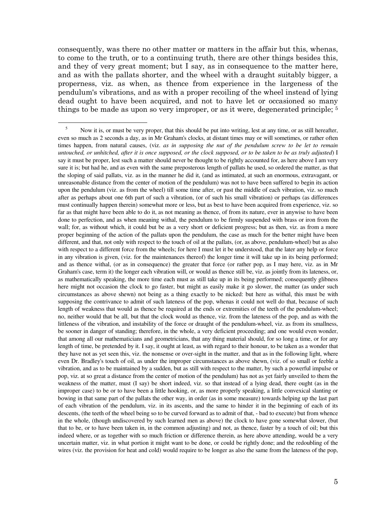consequently, was there no other matter or matters in the affair but this, whenas, to come to the truth, or to a continuing truth, there are other things besides this, and they of very great moment; but I say, as in consequence to the matter here, and as with the pallats shorter, and the wheel with a draught suitably bigger, a properness, viz. as when, as thence from experience in the largeness of the pendulum's vibrations, and as with a proper recoiling of the wheel instead of lying dead ought to have been acquired, and not to have let or occasioned so many things to be made as upon so very improper, or as it were, degenerated principle; <sup>5</sup>

 $\overline{a}$ 5 Now it is, or must be very proper, that this should be put into writing, lest at any time, or as still hereafter, even so much as 2 seconds a day, as in Mr Graham's clocks, at distant times may or will sometimes, or rather often times happen, from natural causes, (viz. *as in supposing the nut of the pendulum screw to be let to remain untouched, or unhitched, after it is once supposed, or the clock supposed, or to be taken to be as truly adjusted*) I say it must be proper, lest such a matter should never be thought to be rightly accounted for, as here above I am very sure it is; but had he, and as even with the same preposterous length of pallats he used, so ordered the matter, as that the sloping of said pallats, viz. as in the manner he did it, (and as intimated, at such an enormous, extravagant, or unreasonable distance from the center of motion of the pendulum) was not to have been suffered to begin its action upon the pendulum (viz. as from the wheel) till some time after, or past the middle of each vibration, viz. so much after as perhaps about one 6th part of such a vibration, (or of such his small vibration) or perhaps (as differences must continually happen therein) somewhat more or less, but as best to have been acquired from experience, viz. so far as that might have been able to do it, as not meaning as thence, of from its nature, ever in anywise to have been done to perfection, and as when meaning withal, the pendulum to be firmly suspended with brass or iron from the wall; for, as without which, it could but be as a very short or deficient progress; but as then, viz. as from a more proper beginning of the action of the pallats upon the pendulum, the case as much for the better might have been different, and that, not only with respect to the touch of oil at the pallats, (or, as above, pendulum-wheel) but as also with respect to a different force from the wheels; for here I must let it be understood, that the later any help or force in any vibration is given, (viz. for the maintenances thereof) the longer time it will take up in its being performed; and as thence withal, (or as in consequence) the greater that force (or rather pop, as I may here, viz. as in Mr Graham's case, term it) the longer each vibration will, or would as thence still be, viz. as jointly from its lateness, or, as mathematically speaking, the more time each must as still take up in its being performed; consequently glibness here might not occasion the clock to go faster, but might as easily make it go slower, the matter (as under such circumstances as above shewn) not being as a thing exactly to be nicked: but here as withal, this must be with supposing the contrivance to admit of such lateness of the pop, whenas it could not well do that, because of such length of weakness that would as thence be required at the ends or extremities of the teeth of the pendulum-wheel; no, neither would that be all, but that the clock would as thence, viz. from the lateness of the pop, and as with the littleness of the vibration, and instability of the force or draught of the pendulum-wheel, viz. as from its smallness, be sooner in danger of standing; therefore, in the whole, a very deficient proceeding; and one would even wonder, that among all our mathematicians and geometricians, that any thing material should, for so long a time, or for any length of time, be pretended by it. I say, it ought at least, as with regard to their honour, to be taken as a wonder that they have not as yet seen this, viz. the nonsense or over-sight in the matter, and that as in the following light, where even Dr. Bradley's touch of oil, as under the improper circumstances as above shewn, (viz. of so small or feeble a vibration, and as to be maintained by a sudden, but as still with respect to the matter, by such a powerful impulse or pop, viz. at so great a distance from the center of motion of the pendulum) has not as yet fairly unveiled to them the weakness of the matter, must (I say) be short indeed, viz. so that instead of a lying dead, there ought (as in the improper case) to be or to have been a little hooking, or, as more properly speaking, a little convexical slanting or bowing in that same part of the pallats the other way, in order (as in some measure) towards helping up the last part of each vibration of the pendulum, viz. in its ascents, and the same to hinder it in the beginning of each of its descents, (the teeth of the wheel being so to be curved forward as to admit of that, - bad to execute) but from whence in the whole, (though undiscovered by such learned men as above) the clock to have gone somewhat slower, (but that to be, or to have been taken in, in the common adjusting) and not, as thence, faster by a touch of oil; but this indeed where, or as together with so much friction or difference therein, as here above attending, would be a very uncertain matter, viz. in what portion it might want to be done, or could be rightly done; and the redoubling of the wires (viz. the provision for heat and cold) would require to be longer as also the same from the lateness of the pop,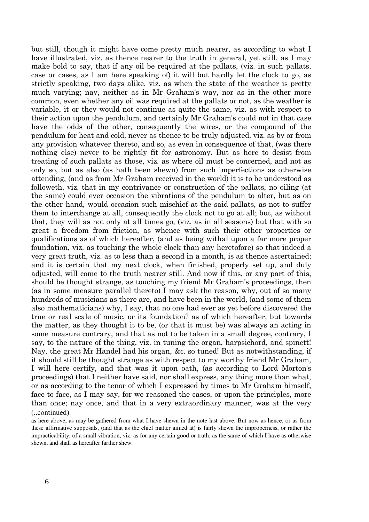but still, though it might have come pretty much nearer, as according to what I have illustrated, viz. as thence nearer to the truth in general, yet still, as I may make bold to say, that if any oil be required at the pallats, (viz. in such pallats, case or cases, as I am here speaking of) it will but hardly let the clock to go, as strictly speaking, two days alike, viz. as when the state of the weather is pretty much varying; nay, neither as in Mr Graham's way, nor as in the other more common, even whether any oil was required at the pallats or not, as the weather is variable, it or they would not continue as quite the same, viz. as with respect to their action upon the pendulum, and certainly Mr Graham's could not in that case have the odds of the other, consequently the wires, or the compound of the pendulum for heat and cold, never as thence to be truly adjusted, viz. as by or from any provision whatever thereto, and so, as even in consequence of that, (was there nothing else) never to be rightly fit for astronomy. But as here to desist from treating of such pallats as those, viz. as where oil must be concerned, and not as only so, but as also (as hath been shewn) from such imperfections as otherwise attending, (and as from Mr Graham received in the world) it is to be understood as followeth, viz. that in my contrivance or construction of the pallats, no oiling (at the same) could ever occasion the vibrations of the pendulum to alter, but as on the other hand, would occasion such mischief at the said pallats, as not to suffer them to interchange at all, consequently the clock not to go at all; but, as without that, they will as not only at all times go, (viz. as in all seasons) but that with so great a freedom from friction, as whence with such their other properties or qualifications as of which hereafter, (and as being withal upon a far more proper foundation, viz. as touching the whole clock than any heretofore) so that indeed a very great truth, viz. as to less than a second in a month, is as thence ascertained; and it is certain that my next clock, when finished, properly set up, and duly adjusted, will come to the truth nearer still. And now if this, or any part of this, should be thought strange, as touching my friend Mr Graham's proceedings, then (as in some measure parallel thereto) I may ask the reason, why, out of so many hundreds of musicians as there are, and have been in the world, (and some of them also mathematicians) why, I say, that no one had ever as yet before discovered the true or real scale of music, or its foundation? as of which hereafter; but towards the matter, as they thought it to be, (or that it must be) was always an acting in some measure contrary, and that as not to be taken in a small degree, contrary, I say, to the nature of the thing, viz. in tuning the organ, harpsichord, and spinett! Nay, the great Mr Handel had his organ, &c. so tuned! But as notwithstanding, if it should still be thought strange as with respect to my worthy friend Mr Graham, I will here certify, and that was it upon oath, (as according to Lord Morton's proceedings) that I neither have said, nor shall express, any thing more than what, or as according to the tenor of which I expressed by times to Mr Graham himself, face to face, as I may say, for we reasoned the cases, or upon the principles, more than once; nay once, and that in a very extraordinary manner, was at the very (..continued)

as here above, as may be gathered from what I have shewn in the note last above. But now as hence, or as from these affirmative supposals, (and that as the chief matter aimed at) is fairly shewn the improperness, or rather the impracticability, of a small vibration, viz. as for any certain good or truth; as the same of which I have as otherwise shewn, and shall as hereafter farther shew.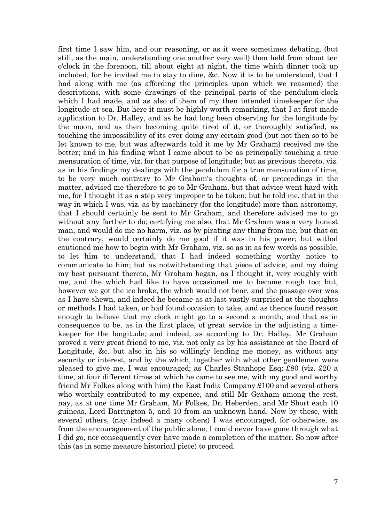first time I saw him, and our reasoning, or as it were sometimes debating, (but still, as the main, understanding one another very well) then held from about ten o'clock in the forenoon, till about eight at night, the time which dinner took up included, for he invited me to stay to dine, &c. Now it is to be understood, that I had along with me (as affording the principles upon which we reasoned) the descriptions, with some drawings of the principal parts of the pendulum-clock which I had made, and as also of them of my then intended timekeeper for the longitude at sea. But here it must be highly worth remarking, that I at first made application to Dr. Halley, and as he had long been observing for the longitude by the moon, and as then becoming quite tired of it, or thoroughly satisfied, as touching the impossibility of its ever doing any certain good (but not then so to be let known to me, but was afterwards told it me by Mr Graham) received me the better; and in his finding what I came about to be as principally touching a true mensuration of time, viz. for that purpose of longitude; but as previous thereto, viz. as in his findings my dealings with the pendulum for a true mensuration of time, to be very much contrary to Mr Graham's thoughts of, or proceedings in the matter, advised me therefore to go to Mr Graham, but that advice went hard with me, for I thought it as a step very improper to be taken; but he told me, that in the way in which I was, viz. as by machinery (for the longitude) more than astronomy, that I should certainly be sent to Mr Graham, and therefore advised me to go without any farther to do; certifying me also, that Mr Graham was a very honest man, and would do me no harm, viz. as by pirating any thing from me, but that on the contrary, would certainly do me good if it was in his power; but withal cautioned me how to begin with Mr Graham, viz. so as in as few words as possible, to let him to understand, that I had indeed something worthy notice to communicate to him; but as notwithstanding that piece of advice, and my doing my best pursuant thereto, Mr Graham began, as I thought it, very roughly with me, and the which had like to have occasioned me to become rough too; but, however we got the ice broke, the which would not bear, and the passage over was as I have shewn, and indeed he became as at last vastly surprised at the thoughts or methods I had taken, or had found occasion to take, and as thence found reason enough to believe that my clock might go to a second a month, and that as in consequence to be, as in the first place, of great service in the adjusting a timekeeper for the longitude; and indeed, as according to Dr. Halley, Mr Graham proved a very great friend to me, viz. not only as by his assistance at the Board of Longitude, &c. but also in his so willingly lending me money, as without any security or interest, and by the which, together with what other gentlemen were pleased to give me, I was encouraged; as Charles Stanhope Esq; £80 (viz. £20 a time, at four different times at which he came to see me, with my good and worthy friend Mr Folkes along with him) the East India Company £100 and several others who worthily contributed to my expence, and still Mr Graham among the rest, nay, as at one time Mr Graham, Mr Folkes, Dr. Heberden, and Mr Short each 10 guineas, Lord Barrington 5, and 10 from an unknown hand. Now by these, with several others, (nay indeed a many others) I was encouraged, for otherwise, as from the encouragement of the public alone, I could never have gone through what I did go, nor consequently ever have made a completion of the matter. So now after this (as in some measure historical piece) to proceed.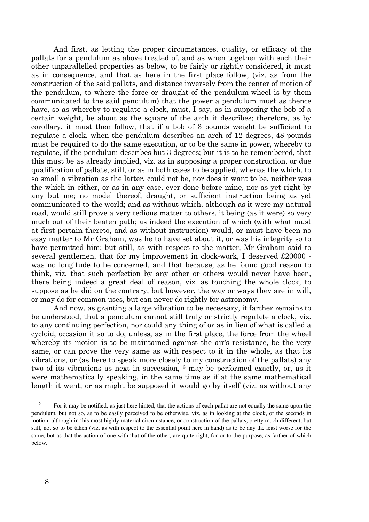And first, as letting the proper circumstances, quality, or efficacy of the pallats for a pendulum as above treated of, and as when together with such their other unparallelled properties as below, to be fairly or rightly considered, it must as in consequence, and that as here in the first place follow, (viz. as from the construction of the said pallats, and distance inversely from the center of motion of the pendulum, to where the force or draught of the pendulum-wheel is by them communicated to the said pendulum) that the power a pendulum must as thence have, so as whereby to regulate a clock, must, I say, as in supposing the bob of a certain weight, be about as the square of the arch it describes; therefore, as by corollary, it must then follow, that if a bob of 3 pounds weight be sufficient to regulate a clock, when the pendulum describes an arch of 12 degrees, 48 pounds must be required to do the same execution, or to be the same in power, whereby to regulate, if the pendulum describes but 3 degrees; but it is to be remembered, that this must be as already implied, viz. as in supposing a proper construction, or due qualification of pallats, still, or as in both cases to be applied, whenas the which, to so small a vibration as the latter, could not be, nor does it want to be, neither was the which in either, or as in any case, ever done before mine, nor as yet right by any but me; no model thereof, draught, or sufficient instruction being as yet communicated to the world; and as without which, although as it were my natural road, would still prove a very tedious matter to others, it being (as it were) so very much out of their beaten path; as indeed the execution of which (with what must at first pertain thereto, and as without instruction) would, or must have been no easy matter to Mr Graham, was he to have set about it, or was his integrity so to have permitted him; but still, as with respect to the matter, Mr Graham said to several gentlemen, that for my improvement in clock-work, I deserved £20000 was no longitude to be concerned, and that because, as he found good reason to think, viz. that such perfection by any other or others would never have been, there being indeed a great deal of reason, viz. as touching the whole clock, to suppose as he did on the contrary; but however, the way or ways they are in will, or may do for common uses, but can never do rightly for astronomy.

 And now, as granting a large vibration to be necessary, it farther remains to be understood, that a pendulum cannot still truly or strictly regulate a clock, viz. to any continuing perfection, nor could any thing of or as in lieu of what is called a cycloid, occasion it so to do; unless, as in the first place, the force from the wheel whereby its motion is to be maintained against the air's resistance, be the very same, or can prove the very same as with respect to it in the whole, as that its vibrations, or (as here to speak more closely to my construction of the pallats) any two of its vibrations as next in succession, 6 may be performed exactly, or, as it were mathematically speaking, in the same time as if at the same mathematical length it went, or as might be supposed it would go by itself (viz. as without any

<sup>6</sup> For it may be notified, as just here hinted, that the actions of each pallat are not equally the same upon the pendulum, but not so, as to be easily perceived to be otherwise, viz. as in looking at the clock, or the seconds in motion, although in this most highly material circumstance, or construction of the pallats, pretty much different, but still, not so to be taken (viz. as with respect to the essential point here in hand) as to be any the least worse for the same, but as that the action of one with that of the other, are quite right, for or to the purpose, as farther of which below.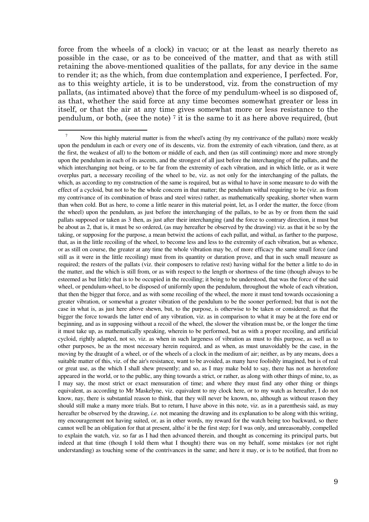force from the wheels of a clock) in vacuo; or at the least as nearly thereto as possible in the case, or as to be conceived of the matter, and that as with still retaining the above-mentioned qualities of the pallats, for any device in the same to render it; as the which, from due contemplation and experience, I perfected. For, as to this weighty article, it is to be understood, viz. from the construction of my pallats, (as intimated above) that the force of my pendulum-wheel is so disposed of, as that, whether the said force at any time becomes somewhat greater or less in itself, or that the air at any time gives somewhat more or less resistance to the pendulum, or both, (see the note)  $\bar{i}$  it is the same to it as here above required, (but

 $\overline{a}$ 7 Now this highly material matter is from the wheel's acting (by my contrivance of the pallats) more weakly upon the pendulum in each or every one of its descents, viz. from the extremity of each vibration, (and there, as at the first, the weakest of all) to the bottom or middle of each, and then (as still continuing) more and more strongly upon the pendulum in each of its ascents, and the strongest of all just before the interchanging of the pallats, and the which interchanging not being, or to be far from the extremity of each vibration, and in which little, or as it were overplus part, a necessary recoiling of the wheel to be, viz. as not only for the interchanging of the pallats, the which, as according to my construction of the same is required, but as withal to have in some measure to do with the effect of a cycloid, but not to be the whole concern in that matter; the pendulum withal requiring to be (viz. as from my contrivance of its combination of brass and steel wires) rather, as mathematically speaking, shorter when warm than when cold. But as here, to come a little nearer in this material point, let, as I order the matter, the force (from the wheel) upon the pendulum, as just before the interchanging of the pallats, to be as by or from them the said pallats supposed or taken as 3 then, as just after their interchanging (and the force to contrary direction, it must but be about as 2, that is, it must be so ordered, (as may hereafter be observed by the drawing) viz. as that it be so by the taking, or supposing for the purpose, a mean betwixt the actions of each pallat, and withal, as farther to the purpose, that, as in the little recoiling of the wheel, to become less and less to the extremity of each vibration, but as whence, or as still on course, the greater at any time the whole vibration may be, of more efficacy the same small force (and still as it were in the little recoiling) must from its quantity or duration prove, and that in such small measure as required; the resters of the pallats (viz. their composers to relative rest) having withal for the better a little to do in the matter, and the which is still from, or as with respect to the length or shortness of the time (though always to be esteemed as but little) that is to be occupied in the recoiling; it being to be understood, that was the force of the said wheel, or pendulum-wheel, to be disposed of uniformly upon the pendulum, throughout the whole of each vibration, that then the bigger that force, and as with some recoiling of the wheel, the more it must tend towards occasioning a greater vibration, or somewhat a greater vibration of the pendulum to be the sooner performed; but that is not the case in what is, as just here above shewn, but, to the purpose, is otherwise to be taken or considered; as that the bigger the force towards the latter end of any vibration, viz. as in comparison to what it may be at the fore end or beginning, and as in supposing without a recoil of the wheel, the slower the vibration must be, or the longer the time it must take up, as mathematically speaking, wherein to be performed, but as with a proper recoiling, and artificial cycloid, rightly adapted, not so, viz. as when in such largeness of vibration as must to this purpose, as well as to other purposes, be as the most necessary herein required, and as when, as must unavoidably be the case, in the moving by the draught of a wheel, or of the wheels of a clock in the medium of air; neither, as by any means, does a suitable matter of this, viz. of the air's resistance, want to be avoided, as many have foolishly imagined, but is of real or great use, as the which I shall shew presently; and so, as I may make bold to say, there has not as heretofore appeared in the world, or to the public, any thing towards a strict, or rather, as along with other things of mine, to, as I may say, the most strict or exact mensuration of time; and where they must find any other thing or things equivalent, as according to Mr Maskelyne, viz. equivalent to my clock here, or to my watch as hereafter, I do not know, nay, there is substantial reason to think, that they will never be known, no, although as without reason they should still make a many more trials. But to return, I have above in this note, viz. as in a parenthesis said, as may hereafter be observed by the drawing, *i.e.* not meaning the drawing and its explanation to be along with this writing, my encouragement not having suited, or, as in other words, my reward for the watch being too backward, so there cannot well be an obligation for that at present, altho' it be the first step; for I was only, and unreasonably, compelled to explain the watch, viz. so far as I had then advanced therein, and thought as concerning its principal parts, but indeed at that time (though I told them what I thought) there was on my behalf, some mistakes (or not right understanding) as touching some of the contrivances in the same; and here it may, or is to be notified, that from no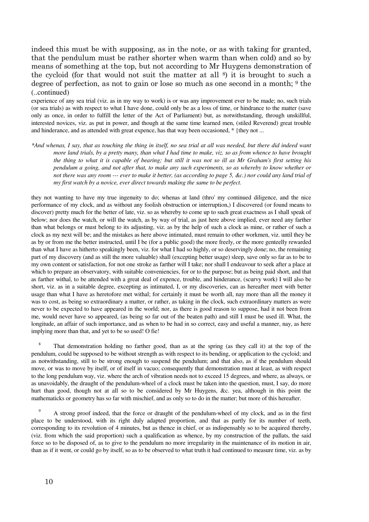indeed this must be with supposing, as in the note, or as with taking for granted, that the pendulum must be rather shorter when warm than when cold) and so by means of something at the top, but not according to Mr Huygens demonstration of the cycloid (for that would not suit the matter at all 8) it is brought to such a degree of perfection, as not to gain or lose so much as one second in a month; <sup>9</sup> the (..continued)

experience of any sea trial (viz. as in my way to work) is or was any improvement ever to be made; no, such trials (or sea trials) as with respect to what I have done, could only be as a loss of time, or hindrance to the matter (save only as once, in order to fulfill the letter of the Act of Parliament) but, as notwithstanding, through unskillful, interested novices, viz. as put in power, and though at the same time learned men, (stiled Reverend) great trouble and hinderance, and as attended with great expence, has that way been occasioned, \* {they not ...

*\*And whenas, I say, that as touching the thing in itself, no sea trial at all was needed, but there did indeed want more land trials, by a pretty many, than what I had time to make, viz. so as from whence to have brought the thing to what it is capable of bearing; but still it was not so ill as Mr Graham's first setting his pendulum a going, and not after that, to make any such experiments, so as whereby to know whether or not there was any room --- ever to make it better, (as according to page 5, &c.) nor could any land trial of my first watch by a novice, ever direct towards making the same to be perfect.*

they not wanting to have my true ingenuity to do; whenas at land (thro' my continued diligence, and the nice performance of my clock, and as without any foolish obstruction or interruption,) I discovered (or found means to discover) pretty much for the better of late, viz. so as whereby to come up to such great exactness as I shall speak of below; nor does the watch, or will the watch, as by way of trial, as just here above implied, ever need any farther than what belongs or must belong to its adjusting, viz. as by the help of such a clock as mine, or rather of such a clock as my next will be; and the mistakes as here above intimated, must remain to other workmen, viz. until they be as by or from me the better instructed, until I be (for a public good) the more freely, or the more genteelly rewarded than what I have as hitherto speakingly been, viz. for what I had so highly, or so deservingly done; no, the remaining part of my discovery (and as still the more valuable) shall (excepting better usage) sleep, save only so far as to be to my own content or satisfaction, for not one stroke as farther will I take; nor shall I endeavour to seek after a place at which to prepare an observatory, with suitable conveniencies, for or to the purpose; but as being paid short, and that as farther withal, to be attended with a great deal of expence, trouble, and hinderance, (scurvy work) I will also be short, viz. as in a suitable degree, excepting as intimated, I, or my discoveries, can as hereafter meet with better usage than what I have as heretofore met withal; for certainly it must be worth all, nay more than all the money it was to cost, as being so extraordinary a matter, or rather, as taking in the clock, such extraordinary matters as were never to be expected to have appeared in the world; nor, as there is good reason to suppose, had it not been from me, would never have so appeared, (as being so far out of the beaten path) and still I must be used ill. What, the longitude, an affair of such importance, and as when to be had in so correct, easy and useful a manner, nay, as here implying more than that, and yet to be so used! O fie!

8 That demonstration holding no farther good, than as at the spring (as they call it) at the top of the pendulum, could be supposed to be without strength as with respect to its bending, or application to the cycloid; and as notwithstanding, still to be strong enough to suspend the pendulum; and that also, as if the pendulum should move, or was to move by itself, or of itself in vacuo; consequently that demonstration must at least, as with respect to the long pendulum way, viz. where the arch of vibration needs not to exceed 15 degrees, and where, as always, or as unavoidably, the draught of the pendulum-wheel of a clock must be taken into the question, must, I say, do more hurt than good, though not at all so to be considered by Mr Huygens, &c. yea, although in this point the mathematicks or geometry has so far with mischief, and as only so to do in the matter; but more of this hereafter.

9 A strong proof indeed, that the force or draught of the pendulum-wheel of my clock, and as in the first place to be understood, with its right duly adapted proportion, and that as partly for its number of teeth, corresponding to its revolution of 4 minutes, but as thence in chief, or as indispensably so to be acquired thereby, (viz. from which the said proportion) such a qualification as whence, by my construction of the pallats, the said force so to be disposed of, as to give to the pendulum no more irregularity in the maintenance of its motion in air, than as if it went, or could go by itself, so as to be observed to what truth it had continued to measure time, viz. as by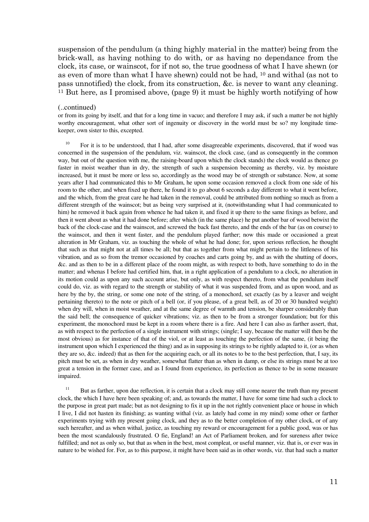suspension of the pendulum (a thing highly material in the matter) being from the brick-wall, as having nothing to do with, or as having no dependance from the clock, its case, or wainscot, for if not so, the true goodness of what I have shewn (or as even of more than what I have shewn) could not be had, 10 and withal (as not to pass unnotified) the clock, from its construction, &c. is never to want any cleaning. <sup>11</sup> But here, as I promised above, (page 9) it must be highly worth notifying of how

#### (..continued)

or from its going by itself, and that for a long time in vacuo; and therefore I may ask, if such a matter be not highly worthy encouragement, what other sort of ingenuity or discovery in the world must be so? my longitude timekeeper, own sister to this, excepted.

<sup>10</sup> For it is to be understood, that I had, after some disagreeable experiments, discovered, that if wood was concerned in the suspension of the pendulum, viz. wainscot, the clock case, (and as consequently in the common way, but out of the question with me, the raising-board upon which the clock stands) the clock would as thence go faster in moist weather than in dry, the strength of such a suspension becoming as thereby, viz. by moisture increased, but it must be more or less so, accordingly as the wood may be of strength or substance. Now, at some years after I had communicated this to Mr Graham, he upon some occasion removed a clock from one side of his room to the other, and when fixed up there, he found it to go about 6 seconds a day different to what it went before, and the which, from the great care he had taken in the removal, could be attributed from nothing so much as from a different strength of the wainscot; but as being very surprised at it, (notwithstanding what I had communicated to him) he removed it back again from whence he had taken it, and fixed it up there to the same fixings as before, and then it went about as what it had done before; after which (in the same place) he put another bar of wood betwixt the back of the clock-case and the wainscot, and screwed the back fast thereto, and the ends of the bar (as on course) to the wainscot, and then it went faster, and the pendulum played farther; now this made or occasioned a great alteration in Mr Graham, viz. as touching the whole of what he had done; for, upon serious reflection, he thought that such as that might not at all times be all; but that as together from what might pertain to the littleness of his vibration, and as so from the tremor occasioned by coaches and carts going by, and as with the shutting of doors, &c. and as then to be in a different place of the room might, as with respect to both, have something to do in the matter; and whenas I before had certified him, that, in a right application of a pendulum to a clock, no alteration in its motion could as upon any such account arise, but only, as with respect thereto, from what the pendulum itself could do, viz. as with regard to the strength or stability of what it was suspended from, and as upon wood, and as here by the by, the string, or some one note of the string, of a monochord, set exactly (as by a leaver and weight pertaining thereto) to the note or pitch of a bell (or, if you please, of a great bell, as of 20 or 30 hundred weight) when dry will, when in moist weather, and at the same degree of warmth and tension, be sharper considerably than the said bell; the consequence of quicker vibrations; viz. as then to be from a stronger foundation; but for this experiment, the monochord must be kept in a room where there is a fire. And here I can also as farther assert, that, as with respect to the perfection of a single instrument with strings; (single; I say, because the matter will then be the most obvious) as for instance of that of the viol, or at least as touching the perfection of the same, (it being the instrument upon which I experienced the thing) and as in supposing its strings to be rightly adapted to it, (or as when they are so, &c. indeed) that as then for the acquiring each, or all its notes to be to the best perfection, that, I say, its pitch must be set, as when in dry weather, somewhat flatter than as when in damp, or else its strings must be at too great a tension in the former case, and as I found from experience, its perfection as thence to be in some measure impaired.

<sup>11</sup> But as farther, upon due reflection, it is certain that a clock may still come nearer the truth than my present clock, the which I have here been speaking of; and, as towards the matter, I have for some time had such a clock to the purpose in great part made; but as not designing to fix it up in the not rightly convenient place or house in which I live, I did not hasten its finishing; as wanting withal (viz. as lately had come in my mind) some other or farther experiments trying with my present going clock, and they as to the better completion of my other clock, or of any such hereafter, and as when withal, justice, as touching my reward or encouragement for a public good, was or has been the most scandalously frustrated. O fie, England! an Act of Parliament broken, and for sureness after twice fulfilled; and not as only so, but that as when in the best, most compleat, or useful manner, viz. that is, or ever was in nature to be wished for. For, as to this purpose, it might have been said as in other words, viz. that had such a matter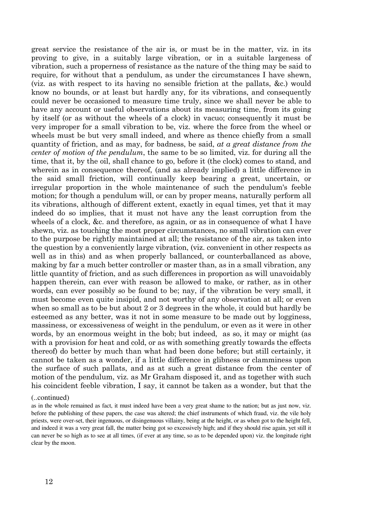great service the resistance of the air is, or must be in the matter, viz. in its proving to give, in a suitably large vibration, or in a suitable largeness of vibration, such a properness of resistance as the nature of the thing may be said to require, for without that a pendulum, as under the circumstances I have shewn, (viz. as with respect to its having no sensible friction at the pallats, &c.) would know no bounds, or at least but hardly any, for its vibrations, and consequently could never be occasioned to measure time truly, since we shall never be able to have any account or useful observations about its measuring time, from its going by itself (or as without the wheels of a clock) in vacuo; consequently it must be very improper for a small vibration to be, viz. where the force from the wheel or wheels must be but very small indeed, and where as thence chiefly from a small quantity of friction, and as may, for badness, be said, at a great distance from the center of motion of the pendulum, the same to be so limited, viz. for during all the time, that it, by the oil, shall chance to go, before it (the clock) comes to stand, and wherein as in consequence thereof, (and as already implied) a little difference in the said small friction, will continually keep bearing a great, uncertain, or irregular proportion in the whole maintenance of such the pendulum's feeble motion; for though a pendulum will, or can by proper means, naturally perform all its vibrations, although of different extent, exactly in equal times, yet that it may indeed do so implies, that it must not have any the least corruption from the wheels of a clock, &c. and therefore, as again, or as in consequence of what I have shewn, viz. as touching the most proper circumstances, no small vibration can ever to the purpose be rightly maintained at all; the resistance of the air, as taken into the question by a conveniently large vibration, (viz. convenient in other respects as well as in this) and as when properly ballanced, or counterballanced as above, making by far a much better controller or master than, as in a small vibration, any little quantity of friction, and as such differences in proportion as will unavoidably happen therein, can ever with reason be allowed to make, or rather, as in other words, can ever possibly so be found to be; nay, if the vibration be very small, it must become even quite insipid, and not worthy of any observation at all; or even when so small as to be but about 2 or 3 degrees in the whole, it could but hardly be esteemed as any better, was it not in some measure to be made out by logginess, massiness, or excessiveness of weight in the pendulum, or even as it were in other words, by an enormous weight in the bob; but indeed, as so, it may or might (as with a provision for heat and cold, or as with something greatly towards the effects thereof) do better by much than what had been done before; but still certainly, it cannot be taken as a wonder, if a little difference in glibness or clamminess upon the surface of such pallats, and as at such a great distance from the center of motion of the pendulum, viz. as Mr Graham disposed it, and as together with such his coincident feeble vibration, I say, it cannot be taken as a wonder, but that the

#### (..continued)

as in the whole remained as fact, it must indeed have been a very great shame to the nation; but as just now, viz. before the publishing of these papers, the case was altered; the chief instruments of which fraud, viz. the vile holy priests, were over-set, their ingenuous, or disingenuous villainy, being at the height, or as when got to the height fell, and indeed it was a very great fall, the matter being got so excessively high; and if they should rise again, yet still it can never be so high as to see at all times, (if ever at any time, so as to be depended upon) viz. the longitude right clear by the moon.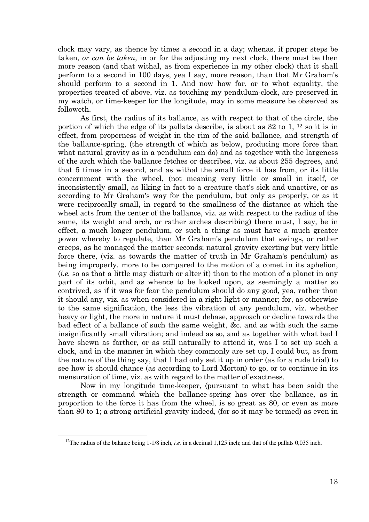clock may vary, as thence by times a second in a day; whenas, if proper steps be taken, or can be taken, in or for the adjusting my next clock, there must be then more reason (and that withal, as from experience in my other clock) that it shall perform to a second in 100 days, yea I say, more reason, than that Mr Graham's should perform to a second in 1. And now how far, or to what equality, the properties treated of above, viz. as touching my pendulum-clock, are preserved in my watch, or time-keeper for the longitude, may in some measure be observed as followeth.

 As first, the radius of its ballance, as with respect to that of the circle, the portion of which the edge of its pallats describe, is about as  $32$  to 1,  $^{12}$  so it is in effect, from properness of weight in the rim of the said ballance, and strength of the ballance-spring, (the strength of which as below, producing more force than what natural gravity as in a pendulum can do) and as together with the largeness of the arch which the ballance fetches or describes, viz. as about 255 degrees, and that 5 times in a second, and as withal the small force it has from, or its little concernment with the wheel, (not meaning very little or small in itself, or inconsistently small, as liking in fact to a creature that's sick and unactive, or as according to Mr Graham's way for the pendulum, but only as properly, or as it were reciprocally small, in regard to the smallness of the distance at which the wheel acts from the center of the ballance, viz. as with respect to the radius of the same, its weight and arch, or rather arches describing) there must, I say, be in effect, a much longer pendulum, or such a thing as must have a much greater power whereby to regulate, than Mr Graham's pendulum that swings, or rather creeps, as he managed the matter seconds; natural gravity exerting but very little force there, (viz. as towards the matter of truth in Mr Graham's pendulum) as being improperly, more to be compared to the motion of a comet in its aphelion, (i.e. so as that a little may disturb or alter it) than to the motion of a planet in any part of its orbit, and as whence to be looked upon, as seemingly a matter so contrived, as if it was for fear the pendulum should do any good, yea, rather than it should any, viz. as when considered in a right light or manner; for, as otherwise to the same signification, the less the vibration of any pendulum, viz. whether heavy or light, the more in nature it must debase, approach or decline towards the bad effect of a ballance of such the same weight, &c. and as with such the same insignificantly small vibration; and indeed as so, and as together with what bad I have shewn as farther, or as still naturally to attend it, was I to set up such a clock, and in the manner in which they commonly are set up, I could but, as from the nature of the thing say, that I had only set it up in order (as for a rude trial) to see how it should chance (as according to Lord Morton) to go, or to continue in its mensuration of time, viz. as with regard to the matter of exactness.

 Now in my longitude time-keeper, (pursuant to what has been said) the strength or command which the ballance-spring has over the ballance, as in proportion to the force it has from the wheel, is so great as 80, or even as more than 80 to 1; a strong artificial gravity indeed, (for so it may be termed) as even in

<sup>&</sup>lt;sup>12</sup>The radius of the balance being 1-1/8 inch, *i.e.* in a decimal 1,125 inch; and that of the pallats 0,035 inch.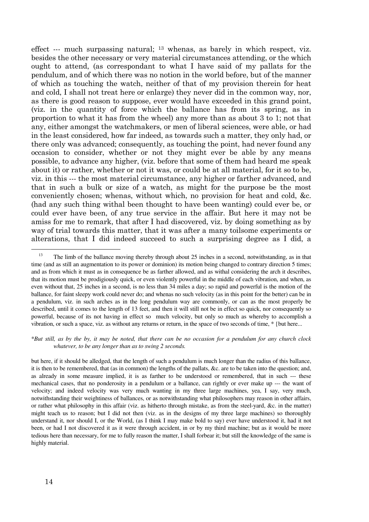effect --- much surpassing natural; 13 whenas, as barely in which respect, viz. besides the other necessary or very material circumstances attending, or the which ought to attend, (as correspondant to what I have said of my pallats for the pendulum, and of which there was no notion in the world before, but of the manner of which as touching the watch, neither of that of my provision therein for heat and cold, I shall not treat here or enlarge) they never did in the common way, nor, as there is good reason to suppose, ever would have exceeded in this grand point, (viz. in the quantity of force which the ballance has from its spring, as in proportion to what it has from the wheel) any more than as about 3 to 1; not that any, either amongst the watchmakers, or men of liberal sciences, were able, or had in the least considered, how far indeed, as towards such a matter, they only had, or there only was advanced; consequently, as touching the point, had never found any occasion to consider, whether or not they might ever be able by any means possible, to advance any higher, (viz. before that some of them had heard me speak about it) or rather, whether or not it was, or could be at all material, for it so to be, viz. in this --- the most material circumstance, any higher or farther advanced, and that in such a bulk or size of a watch, as might for the purpose be the most conveniently chosen; whenas, without which, no provision for heat and cold, &c. (had any such thing withal been thought to have been wanting) could ever be, or could ever have been, of any true service in the affair. But here it may not be amiss for me to remark, that after I had discovered, viz. by doing something as by way of trial towards this matter, that it was after a many toilsome experiments or alterations, that I did indeed succeed to such a surprising degree as I did, a

\**But still, as by the by, it may be noted, that there can be no occasion for a pendulum for any church clock whatever, to be any longer than as to swing 2 seconds.* 

but here, if it should be alledged, that the length of such a pendulum is much longer than the radius of this ballance, it is then to be remembered, that (as in common) the lengths of the pallats, &c. are to be taken into the question; and, as already in some measure implied, it is as farther to be understood or remembered, that in such --- these mechanical cases, that no ponderosity in a pendulum or a ballance, can rightly or ever make up --- the want of velocity; and indeed velocity was very much wanting in my three large machines, yea, I say, very much, notwithstanding their weightiness of ballances, or as notwithstanding what philosophers may reason in other affairs, or rather what philosophy in this affair (viz. as hitherto through mistake, as from the steel-yard, &c. in the matter) might teach us to reason; but I did not then (viz. as in the designs of my three large machines) so thoroughly understand it, nor should I, or the World, (as I think I may make bold to say) ever have understood it, had it not been, or had I not discovered it as it were through accident, in or by my third machine; but as it would be more tedious here than necessary, for me to fully reason the matter, I shall forbear it; but still the knowledge of the same is highly material.

<sup>&</sup>lt;sup>13</sup> The limb of the ballance moving thereby through about 25 inches in a second, notwithstanding, as in that time (and as still an augmentation to its power or dominion) its motion being changed to contrary direction 5 times; and as from which it must as in consequence be as farther allowed, and as withal considering the arch it describes, that its motion must be prodigiously quick, or even violently powerful in the middle of each vibration, and when, as even without that, 25 inches in a second, is no less than 34 miles a day; so rapid and powerful is the motion of the ballance, for faint sleepy work could never do; and whenas no such velocity (as in this point for the better) can be in a pendulum, viz. in such arches as in the long pendulum way are commonly, or can as the most properly be described, until it comes to the length of 13 feet, and then it will still not be in effect so quick, nor consequently so powerful, because of its not having in effect so much velocity, but only so much as whereby to accomplish a vibration, or such a space, viz. as without any returns or return, in the space of two seconds of time, \* {but here...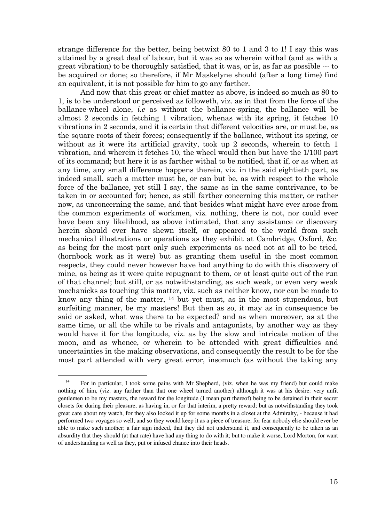strange difference for the better, being betwixt 80 to 1 and 3 to 1! I say this was attained by a great deal of labour, but it was so as wherein withal (and as with a great vibration) to be thoroughly satisfied, that it was, or is, as far as possible --- to be acquired or done; so therefore, if Mr Maskelyne should (after a long time) find an equivalent, it is not possible for him to go any farther.

 And now that this great or chief matter as above, is indeed so much as 80 to 1, is to be understood or perceived as followeth, viz. as in that from the force of the ballance-wheel alone, i.e as without the ballance-spring, the ballance will be almost 2 seconds in fetching 1 vibration, whenas with its spring, it fetches 10 vibrations in 2 seconds, and it is certain that different velocities are, or must be, as the square roots of their forces; consequently if the ballance, without its spring, or without as it were its artificial gravity, took up 2 seconds, wherein to fetch 1 vibration, and wherein it fetches 10, the wheel would then but have the 1/100 part of its command; but here it is as farther withal to be notified, that if, or as when at any time, any small difference happens therein, viz. in the said eightieth part, as indeed small, such a matter must be, or can but be, as with respect to the whole force of the ballance, yet still I say, the same as in the same contrivance, to be taken in or accounted for; hence, as still farther concerning this matter, or rather now, as unconcerning the same, and that besides what might have ever arose from the common experiments of workmen, viz. nothing, there is not, nor could ever have been any likelihood, as above intimated, that any assistance or discovery herein should ever have shewn itself, or appeared to the world from such mechanical illustrations or operations as they exhibit at Cambridge, Oxford, &c. as being for the most part only such experiments as need not at all to be tried, (hornbook work as it were) but as granting them useful in the most common respects, they could never however have had anything to do with this discovery of mine, as being as it were quite repugnant to them, or at least quite out of the run of that channel; but still, or as notwithstanding, as such weak, or even very weak mechanicks as touching this matter, viz. such as neither know, nor can be made to know any thing of the matter, 14 but yet must, as in the most stupendous, but surfeiting manner, be my masters! But then as so, it may as in consequence be said or asked, what was there to be expected? and as when moreover, as at the same time, or all the while to be rivals and antagonists, by another way as they would have it for the longitude, viz. as by the slow and intricate motion of the moon, and as whence, or wherein to be attended with great difficulties and uncertainties in the making observations, and consequently the result to be for the most part attended with very great error, insomuch (as without the taking any

<sup>&</sup>lt;sup>14</sup> For in particular, I took some pains with Mr Shepherd, (viz. when he was my friend) but could make nothing of him, (viz. any farther than that one wheel turned another) although it was at his desire: very unfit gentlemen to be my masters, the reward for the longitude (I mean part thereof) being to be detained in their secret closets for during their pleasure, as having in, or for that interim, a pretty reward; but as notwithstanding they took great care about my watch, for they also locked it up for some months in a closet at the Admiralty, - because it had performed two voyages so well; and so they would keep it as a piece of treasure, for fear nobody else should ever be able to make such another; a fair sign indeed, that they did not understand it, and consequently to be taken as an absurdity that they should (at that rate) have had any thing to do with it; but to make it worse, Lord Morton, for want of understanding as well as they, put or infused chance into their heads.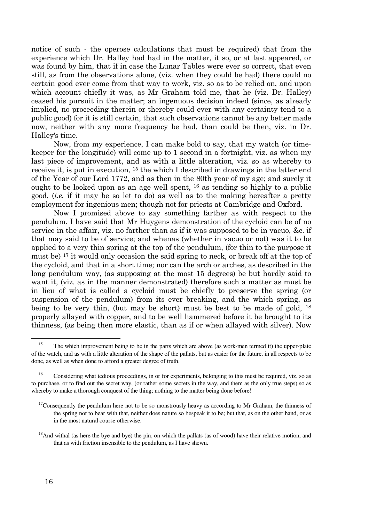notice of such - the operose calculations that must be required) that from the experience which Dr. Halley had had in the matter, it so, or at last appeared, or was found by him, that if in case the Lunar Tables were ever so correct, that even still, as from the observations alone, (viz. when they could be had) there could no certain good ever come from that way to work, viz. so as to be relied on, and upon which account chiefly it was, as Mr Graham told me, that he (viz. Dr. Halley) ceased his pursuit in the matter; an ingenuous decision indeed (since, as already implied, no proceeding therein or thereby could ever with any certainty tend to a public good) for it is still certain, that such observations cannot be any better made now, neither with any more frequency be had, than could be then, viz. in Dr. Halley's time.

 Now, from my experience, I can make bold to say, that my watch (or timekeeper for the longitude) will come up to 1 second in a fortnight, viz. as when my last piece of improvement, and as with a little alteration, viz. so as whereby to receive it, is put in execution, 15 the which I described in drawings in the latter end of the Year of our Lord 1772, and as then in the 80th year of my age; and surely it ought to be looked upon as an age well spent, 16 as tending so highly to a public good, (i.e. if it may be so let to do) as well as to the making hereafter a pretty employment for ingenious men; though not for priests at Cambridge and Oxford.

 Now I promised above to say something farther as with respect to the pendulum. I have said that Mr Huygens demonstration of the cycloid can be of no service in the affair, viz. no farther than as if it was supposed to be in vacuo, &c. if that may said to be of service; and whenas (whether in vacuo or not) was it to be applied to a very thin spring at the top of the pendulum, (for thin to the purpose it must be) 17 it would only occasion the said spring to neck, or break off at the top of the cycloid, and that in a short time; nor can the arch or arches, as described in the long pendulum way, (as supposing at the most 15 degrees) be but hardly said to want it, (viz. as in the manner demonstrated) therefore such a matter as must be in lieu of what is called a cycloid must be chiefly to preserve the spring (or suspension of the pendulum) from its ever breaking, and the which spring, as being to be very thin, (but may be short) must be best to be made of gold, <sup>18</sup> properly allayed with copper, and to be well hammered before it be brought to its thinness, (as being then more elastic, than as if or when allayed with silver). Now

<sup>&</sup>lt;sup>15</sup> The which improvement being to be in the parts which are above (as work-men termed it) the upper-plate of the watch, and as with a little alteration of the shape of the pallats, but as easier for the future, in all respects to be done, as well as when done to afford a greater degree of truth.

<sup>16</sup> Considering what tedious proceedings, in or for experiments, belonging to this must be required, viz. so as to purchase, or to find out the secret way, (or rather some secrets in the way, and them as the only true steps) so as whereby to make a thorough conquest of the thing; nothing to the matter being done before!

<sup>&</sup>lt;sup>17</sup>Consequently the pendulum here not to be so monstrously heavy as according to Mr Graham, the thinness of the spring not to bear with that, neither does nature so bespeak it to be; but that, as on the other hand, or as in the most natural course otherwise.

<sup>&</sup>lt;sup>18</sup>And withal (as here the bye and bye) the pin, on which the pallats (as of wood) have their relative motion, and that as with friction insensible to the pendulum, as I have shewn.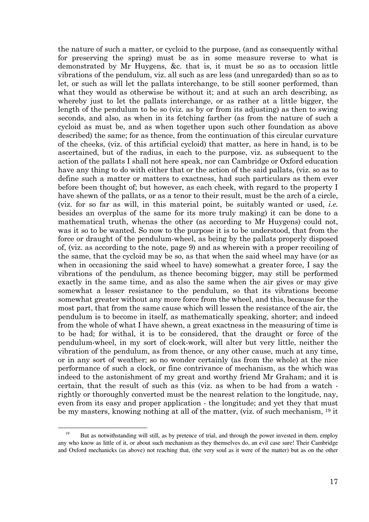the nature of such a matter, or cycloid to the purpose, (and as consequently withal for preserving the spring) must be as in some measure reverse to what is demonstrated by Mr Huygens, &c. that is, it must be so as to occasion little vibrations of the pendulum, viz. all such as are less (and unregarded) than so as to let, or such as will let the pallats interchange, to be still sooner performed, than what they would as otherwise be without it; and at such an arch describing, as whereby just to let the pallats interchange, or as rather at a little bigger, the length of the pendulum to be so (viz. as by or from its adjusting) as then to swing seconds, and also, as when in its fetching farther (as from the nature of such a cycloid as must be, and as when together upon such other foundation as above described) the same; for as thence, from the continuation of this circular curvature of the cheeks, (viz. of this artificial cycloid) that matter, as here in hand, is to be ascertained, but of the radius, in each to the purpose, viz. as subsequent to the action of the pallats I shall not here speak, nor can Cambridge or Oxford education have any thing to do with either that or the action of the said pallats, (viz. so as to define such a matter or matters to exactness, had such particulars as them ever before been thought of; but however, as each cheek, with regard to the property I have shewn of the pallats, or as a tenor to their result, must be the arch of a circle, (viz. for so far as will, in this material point, be suitably wanted or used, *i.e.* besides an overplus of the same for its more truly making) it can be done to a mathematical truth, whenas the other (as according to Mr Huygens) could not, was it so to be wanted. So now to the purpose it is to be understood, that from the force or draught of the pendulum-wheel, as being by the pallats properly disposed of, (viz. as according to the note, page 9) and as wherein with a proper recoiling of the same, that the cycloid may be so, as that when the said wheel may have (or as when in occasioning the said wheel to have) somewhat a greater force, I say the vibrations of the pendulum, as thence becoming bigger, may still be performed exactly in the same time, and as also the same when the air gives or may give somewhat a lesser resistance to the pendulum, so that its vibrations become somewhat greater without any more force from the wheel, and this, because for the most part, that from the same cause which will lessen the resistance of the air, the pendulum is to become in itself, as mathematically speaking, shorter; and indeed from the whole of what I have shewn, a great exactness in the measuring of time is to be had; for withal, it is to be considered, that the draught or force of the pendulum-wheel, in my sort of clock-work, will alter but very little, neither the vibration of the pendulum, as from thence, or any other cause, much at any time, or in any sort of weather; so no wonder certainly (as from the whole) at the nice performance of such a clock, or fine contrivance of mechanism, as the which was indeed to the astonishment of my great and worthy friend Mr Graham; and it is certain, that the result of such as this (viz. as when to be had from a watch rightly or thoroughly converted must be the nearest relation to the longitude, nay, even from its easy and proper application - the longitude; and yet they that must be my masters, knowing nothing at all of the matter, (viz. of such mechanism, 19 it

 $\overline{a}$ <sup>19</sup> But as notwithstanding will still, as by pretence of trial, and through the power invested in them, employ any who know as little of it, or about such mechanism as they themselves do, an evil case sure! Their Cambridge and Oxford mechanicks (as above) not reaching that, (the very soul as it were of the matter) but as on the other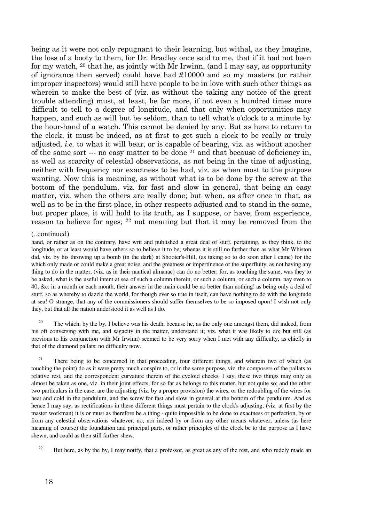being as it were not only repugnant to their learning, but withal, as they imagine, the loss of a booty to them, for Dr. Bradley once said to me, that if it had not been for my watch, 20 that he, as jointly with Mr Irwinn, (and I may say, as opportunity of ignorance then served) could have had £10000 and so my masters (or rather improper inspectors) would still have people to be in love with such other things as wherein to make the best of (viz. as without the taking any notice of the great trouble attending) must, at least, be far more, if not even a hundred times more difficult to tell to a degree of longitude, and that only when opportunities may happen, and such as will but be seldom, than to tell what's o'clock to a minute by the hour-hand of a watch. This cannot be denied by any. But as here to return to the clock, it must be indeed, as at first to get such a clock to be really or truly adjusted, i.e. to what it will bear, or is capable of bearing, viz. as without another of the same sort --- no easy matter to be done 21 and that because of deficiency in, as well as scarcity of celestial observations, as not being in the time of adjusting, neither with frequency nor exactness to be had, viz. as when most to the purpose wanting. Now this is meaning, as without what is to be done by the screw at the bottom of the pendulum, viz. for fast and slow in general, that being an easy matter, viz. when the others are really done; but when, as after once in that, as well as to be in the first place, in other respects adjusted and to stand in the same, but proper place, it will hold to its truth, as I suppose, or have, from experience, reason to believe for ages; 22 not meaning but that it may be removed from the

#### (..continued)

hand, or rather as on the contrary, have writ and published a great deal of stuff, pertaining, as they think, to the longitude, or at least would have others so to believe it to be; whenas it is still no farther than as what Mr Whiston did, viz. by his throwing up a bomb (in the dark) at Shooter's-Hill, (as taking so to do soon after I came) for the which only made or could make a great noise, and the greatness or impertinence or the superfluity, as not having any thing to do in the matter, (viz. as in their nautical almanac) can do no better; for, as touching the same, was they to be asked, what is the useful intent at sea of such a column therein, or such a column, or such a column, nay even to 40, &c. in a month or each month, their answer in the main could be no better than nothing! as being only a deal of stuff, so as whereby to dazzle the world, for though ever so true in itself, can have nothing to do with the longitude at sea! O strange, that any of the commissioners should suffer themselves to be so imposed upon! I wish not only they, but that all the nation understood it as well as I do.

<sup>20</sup> The which, by the by, I believe was his death, because he, as the only one amongst them, did indeed, from his oft conversing with me, and sagacity in the matter, understand it; viz. what it was likely to do; but still (as previous to his conjunction with Mr Irwinn) seemed to be very sorry when I met with any difficulty, as chiefly in that of the diamond pallats: no difficulty now.

<sup>21</sup> There being to be concerned in that proceeding, four different things, and wherein two of which (as touching the point) do as it were pretty much conspire to, or in the same purpose, viz. the composers of the pallats to relative rest, and the correspondent curvature therein of the cycloid cheeks. I say, these two things may only as almost be taken as one, viz. in their joint effects, for so far as belongs to this matter, but not quite so; and the other two particulars in the case, are the adjusting (viz. by a proper provision) the wires, or the redoubling of the wires for heat and cold in the pendulum, and the screw for fast and slow in general at the bottom of the pendulum. And as hence I may say, as rectifications in these different things must pertain to the clock's adjusting, (viz. at first by the master workman) it is or must as therefore be a thing - quite impossible to be done to exactness or perfection, by or from any celestial observations whatever, no, nor indeed by or from any other means whatever, unless (as here meaning of course) the foundation and principal parts, or rather principles of the clock be to the purpose as I have shewn, and could as then still farther shew.

<sup>22</sup> But here, as by the by, I may notify, that a professor, as great as any of the rest, and who rudely made an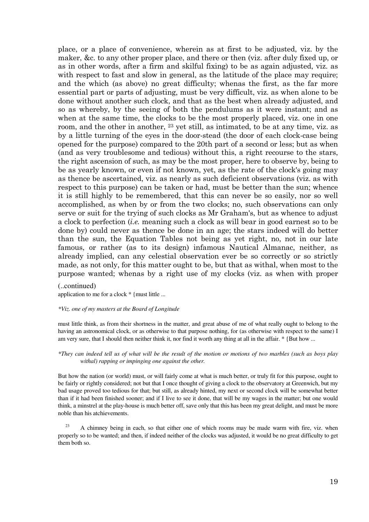place, or a place of convenience, wherein as at first to be adjusted, viz. by the maker, &c. to any other proper place, and there or then (viz. after duly fixed up, or as in other words, after a firm and skilful fixing) to be as again adjusted, viz. as with respect to fast and slow in general, as the latitude of the place may require; and the which (as above) no great difficulty; whenas the first, as the far more essential part or parts of adjusting, must be very difficult, viz. as when alone to be done without another such clock, and that as the best when already adjusted, and so as whereby, by the seeing of both the pendulums as it were instant; and as when at the same time, the clocks to be the most properly placed, viz. one in one room, and the other in another, 23 yet still, as intimated, to be at any time, viz. as by a little turning of the eyes in the door-stead (the door of each clock-case being opened for the purpose) compared to the 20th part of a second or less; but as when (and as very troublesome and tedious) without this, a right recourse to the stars, the right ascension of such, as may be the most proper, here to observe by, being to be as yearly known, or even if not known, yet, as the rate of the clock's going may as thence be ascertained, viz. as nearly as such deficient observations (viz. as with respect to this purpose) can be taken or had, must be better than the sun; whence it is still highly to be remembered, that this can never be so easily, nor so well accomplished, as when by or from the two clocks; no, such observations can only serve or suit for the trying of such clocks as Mr Graham's, but as whence to adjust a clock to perfection (i.e. meaning such a clock as will bear in good earnest so to be done by) could never as thence be done in an age; the stars indeed will do better than the sun, the Equation Tables not being as yet right, no, not in our late famous, or rather (as to its design) infamous Nautical Almanac, neither, as already implied, can any celestial observation ever be so correctly or so strictly made, as not only, for this matter ought to be, but that as withal, when most to the purpose wanted; whenas by a right use of my clocks (viz. as when with proper

#### (..continued)

application to me for a clock  $*$  {must little ...

#### *\*Viz. one of my masters at the Board of Longitude*

must little think, as from their shortness in the matter, and great abuse of me of what really ought to belong to the having an astronomical clock, or as otherwise to that purpose nothing, for (as otherwise with respect to the same) I am very sure, that I should then neither think it, nor find it worth any thing at all in the affair.  $*$  {But how ...

#### *\*They can indeed tell us of what will be the result of the motion or motions of two marbles (such as boys play withal) rapping or impinging one against the other.*

But how the nation (or world) must, or will fairly come at what is much better, or truly fit for this purpose, ought to be fairly or rightly considered; not but that I once thought of giving a clock to the observatory at Greenwich, but my bad usage proved too tedious for that; but still, as already hinted, my next or second clock will be somewhat better than if it had been finished sooner; and if I live to see it done, that will be my wages in the matter; but one would think, a minstrel at the play-house is much better off, save only that this has been my great delight, and must be more noble than his atchievements.

 $23$  A chimney being in each, so that either one of which rooms may be made warm with fire, viz. when properly so to be wanted; and then, if indeed neither of the clocks was adjusted, it would be no great difficulty to get them both so.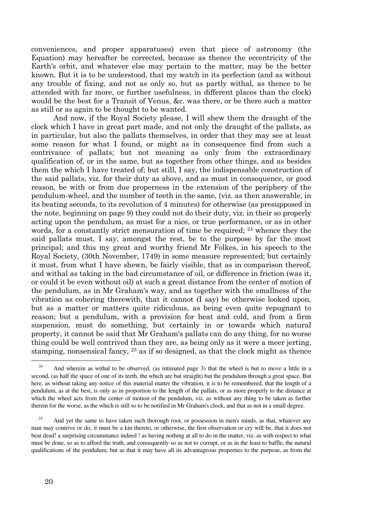conveniences, and proper apparatuses) even that piece of astronomy (the Equation) may hereafter be corrected, because as thence the eccentricity of the Earth's orbit, and whatever else may pertain to the matter, may be the better known. But it is to be understood, that my watch in its perfection (and as without any trouble of fixing, and not as only so, but as partly withal, as thence to be attended with far more, or further usefulness, in different places than the clock) would be the best for a Transit of Venus, &c. was there, or be there such a matter as still or as again to be thought to be wanted.

 And now, if the Royal Society please, I will shew them the draught of the clock which I have in great part made, and not only the draught of the pallats, as in particular, but also the pallats themselves, in order that they may see at least some reason for what I found, or might as in consequence find from such a contrivance of pallats; but not meaning as only from the extraordinary qualification of, or in the same, but as together from other things, and as besides them the which I have treated of; but still, I say, the indispensable construction of the said pallats, viz. for their duty as above, and as must in consequence, or good reason, be with or from due properness in the extension of the periphery of the pendulum-wheel, and the number of teeth in the same, (viz. as then answerable, in its beating seconds, to its revolution of 4 minutes) for otherwise (as presupposed in the note, beginning on page 9) they could not do their duty, viz. in their so properly acting upon the pendulum, as must for a nice, or true performance, or as in other words, for a constantly strict mensuration of time be required; 24 whence they the said pallats must, I say, amongst the rest, be to the purpose by far the most principal; and this my great and worthy friend Mr Folkes, in his speech to the Royal Society, (30th November, 1749) in some measure represented; but certainly it must, from what I have shewn, be fairly visible, that as in comparison thereof, and withal as taking in the bad circumstance of oil, or difference in friction (was it, or could it be even without oil) at such a great distance from the center of motion of the pendulum, as in Mr Graham's way, and as together with the smallness of the vibration as cohering therewith, that it cannot (I say) be otherwise looked upon, but as a matter or matters quite ridiculous, as being even quite repugnant to reason; but a pendulum, with a provision for heat and cold, and from a firm suspension, must do something, but certainly in or towards which natural property, it cannot be said that Mr Graham's pallats can do any thing, for no worse thing could be well contrived than they are, as being only as it were a meer jerting, stamping, nonsensical fancy, 25 as if so designed, as that the clock might as thence

<sup>&</sup>lt;sup>24</sup> And wherein as withal to be observed, (as intimated page 3) that the wheel is but to move a little in a second, (as half the space of one of its teeth, the which are but straight) but the pendulum through a great space. But here, as without taking any notice of this material matter the vibration, it is to be remembered, that the length of a pendulum, as at the best, is only as in proportion to the length of the pallats, or as more properly to the distance at which the wheel acts from the center of motion of the pendulum, viz. as without any thing to be taken as farther therein for the worse, as the which is still so to be notified in Mr Graham's clock, and that as not in a small degree.

 $25$  And yet the same to have taken such thorough root, or possession in men's minds, as that, whatever any man may contrive or do, it must be a kin thereto, or otherwise, the first observation or cry will be, that it does not beat dead! a surprising circumstance indeed ! as having nothing at all to do in the matter, viz. as with respect to what must be done, so as to afford the truth, and consequently so as not to corrupt, or as in the least to baffle, the natural qualifications of the pendulum, but as that it may have all its advantageous properties to the purpose, as from the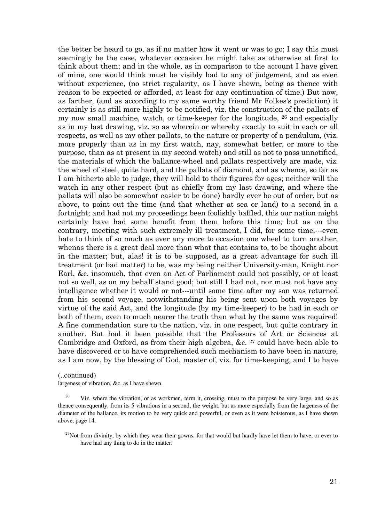the better be heard to go, as if no matter how it went or was to go; I say this must seemingly be the case, whatever occasion he might take as otherwise at first to think about them; and in the whole, as in comparison to the account I have given of mine, one would think must be visibly bad to any of judgement, and as even without experience, (no strict regularity, as I have shewn, being as thence with reason to be expected or afforded, at least for any continuation of time.) But now, as farther, (and as according to my same worthy friend Mr Folkes's prediction) it certainly is as still more highly to be notified, viz. the construction of the pallats of my now small machine, watch, or time-keeper for the longitude, 26 and especially as in my last drawing, viz. so as wherein or whereby exactly to suit in each or all respects, as well as my other pallats, to the nature or property of a pendulum, (viz. more properly than as in my first watch, nay, somewhat better, or more to the purpose, than as at present in my second watch) and still as not to pass unnotified, the materials of which the ballance-wheel and pallats respectively are made, viz. the wheel of steel, quite hard, and the pallats of diamond, and as whence, so far as I am hitherto able to judge, they will hold to their figures for ages; neither will the watch in any other respect (but as chiefly from my last drawing, and where the pallats will also be somewhat easier to be done) hardly ever be out of order, but as above, to point out the time (and that whether at sea or land) to a second in a fortnight; and had not my proceedings been foolishly baffled, this our nation might certainly have had some benefit from them before this time; but as on the contrary, meeting with such extremely ill treatment, I did, for some time,---even hate to think of so much as ever any more to occasion one wheel to turn another, whenas there is a great deal more than what that contains to, to be thought about in the matter; but, alas! it is to be supposed, as a great advantage for such ill treatment (or bad matter) to be, was my being neither University-man, Knight nor Earl, &c. insomuch, that even an Act of Parliament could not possibly, or at least not so well, as on my behalf stand good; but still I had not, nor must not have any intelligence whether it would or not---until some time after my son was returned from his second voyage, notwithstanding his being sent upon both voyages by virtue of the said Act, and the longitude (by my time-keeper) to be had in each or both of them, even to much nearer the truth than what by the same was required! A fine commendation sure to the nation, viz. in one respect, but quite contrary in another. But had it been possible that the Professors of Art or Sciences at Cambridge and Oxford, as from their high algebra, &c. 27 could have been able to have discovered or to have comprehended such mechanism to have been in nature, as I am now, by the blessing of God, master of, viz. for time-keeping, and I to have

#### (..continued)

largeness of vibration, &c. as I have shewn.

 $27$ Not from divinity, by which they wear their gowns, for that would but hardly have let them to have, or ever to have had any thing to do in the matter.

 $^{26}$  Viz. where the vibration, or as workmen, term it, crossing, must to the purpose be very large, and so as thence consequently, from its 5 vibrations in a second, the weight, but as more especially from the largeness of the diameter of the ballance, its motion to be very quick and powerful, or even as it were boisterous, as I have shewn above, page 14.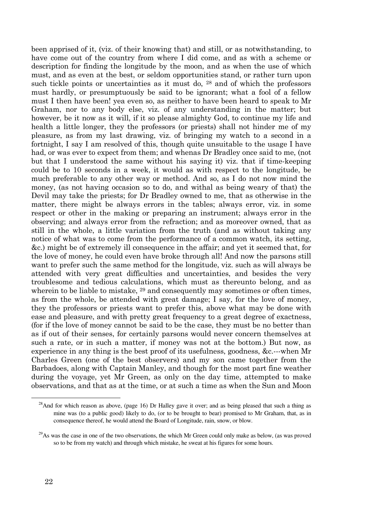been apprised of it, (viz. of their knowing that) and still, or as notwithstanding, to have come out of the country from where I did come, and as with a scheme or description for finding the longitude by the moon, and as when the use of which must, and as even at the best, or seldom opportunities stand, or rather turn upon such tickle points or uncertainties as it must do, 28 and of which the professors must hardly, or presumptuously be said to be ignorant; what a fool of a fellow must I then have been! yea even so, as neither to have been heard to speak to Mr Graham, nor to any body else, viz. of any understanding in the matter; but however, be it now as it will, if it so please almighty God, to continue my life and health a little longer, they the professors (or priests) shall not hinder me of my pleasure, as from my last drawing, viz. of bringing my watch to a second in a fortnight, I say I am resolved of this, though quite unsuitable to the usage I have had, or was ever to expect from them; and whenas Dr Bradley once said to me, (not but that I understood the same without his saying it) viz. that if time-keeping could be to 10 seconds in a week, it would as with respect to the longitude, be much preferable to any other way or method. And so, as I do not now mind the money, (as not having occasion so to do, and withal as being weary of that) the Devil may take the priests; for Dr Bradley owned to me, that as otherwise in the matter, there might be always errors in the tables; always error, viz. in some respect or other in the making or preparing an instrument; always error in the observing; and always error from the refraction; and as moreover owned, that as still in the whole, a little variation from the truth (and as without taking any notice of what was to come from the performance of a common watch, its setting, &c.) might be of extremely ill consequence in the affair; and yet it seemed that, for the love of money, he could even have broke through all! And now the parsons still want to prefer such the same method for the longitude, viz. such as will always be attended with very great difficulties and uncertainties, and besides the very troublesome and tedious calculations, which must as thereunto belong, and as wherein to be liable to mistake, <sup>29</sup> and consequently may sometimes or often times, as from the whole, be attended with great damage; I say, for the love of money, they the professors or priests want to prefer this, above what may be done with ease and pleasure, and with pretty great frequency to a great degree of exactness, (for if the love of money cannot be said to be the case, they must be no better than as if out of their senses, for certainly parsons would never concern themselves at such a rate, or in such a matter, if money was not at the bottom.) But now, as experience in any thing is the best proof of its usefulness, goodness, &c.---when Mr Charles Green (one of the best observers) and my son came together from the Barbadoes, along with Captain Manley, and though for the most part fine weather during the voyage, yet Mr Green, as only on the day time, attempted to make observations, and that as at the time, or at such a time as when the Sun and Moon

<sup>&</sup>lt;sup>28</sup>And for which reason as above, (page 16) Dr Halley gave it over; and as being pleased that such a thing as mine was (to a public good) likely to do, (or to be brought to bear) promised to Mr Graham, that, as in consequence thereof, he would attend the Board of Longitude, rain, snow, or blow.

 $29$ As was the case in one of the two observations, the which Mr Green could only make as below, (as was proved so to be from my watch) and through which mistake, he sweat at his figures for some hours.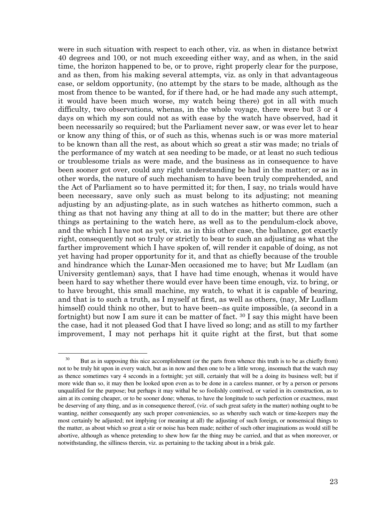were in such situation with respect to each other, viz. as when in distance betwixt 40 degrees and 100, or not much exceeding either way, and as when, in the said time, the horizon happened to be, or to prove, right properly clear for the purpose, and as then, from his making several attempts, viz. as only in that advantageous case, or seldom opportunity, (no attempt by the stars to be made, although as the most from thence to be wanted, for if there had, or he had made any such attempt, it would have been much worse, my watch being there) got in all with much difficulty, two observations, whenas, in the whole voyage, there were but 3 or 4 days on which my son could not as with ease by the watch have observed, had it been necessarily so required; but the Parliament never saw, or was ever let to hear or know any thing of this, or of such as this, whenas such is or was more material to be known than all the rest, as about which so great a stir was made; no trials of the performance of my watch at sea needing to be made, or at least no such tedious or troublesome trials as were made, and the business as in consequence to have been sooner got over, could any right understanding be had in the matter; or as in other words, the nature of such mechanism to have been truly comprehended, and the Act of Parliament so to have permitted it; for then, I say, no trials would have been necessary, save only such as must belong to its adjusting; not meaning adjusting by an adjusting-plate, as in such watches as hitherto common, such a thing as that not having any thing at all to do in the matter; but there are other things as pertaining to the watch here, as well as to the pendulum-clock above, and the which I have not as yet, viz. as in this other case, the ballance, got exactly right, consequently not so truly or strictly to bear to such an adjusting as what the farther improvement which I have spoken of, will render it capable of doing, as not yet having had proper opportunity for it, and that as chiefly because of the trouble and hindrance which the Lunar-Men occasioned me to have; but Mr Ludlam (an University gentleman) says, that I have had time enough, whenas it would have been hard to say whether there would ever have been time enough, viz. to bring, or to have brought, this small machine, my watch, to what it is capable of bearing, and that is to such a truth, as I myself at first, as well as others, (nay, Mr Ludlam himself) could think no other, but to have been--as quite impossible, (a second in a fortnight) but now I am sure it can be matter of fact.  $30 \text{ I}$  say this might have been the case, had it not pleased God that I have lived so long; and as still to my farther improvement, I may not perhaps hit it quite right at the first, but that some

<sup>&</sup>lt;sup>30</sup> But as in supposing this nice accomplishment (or the parts from whence this truth is to be as chiefly from) not to be truly hit upon in every watch, but as in now and then one to be a little wrong, insomuch that the watch may as thence sometimes vary 4 seconds in a fortnight; yet still, certainly that will be a doing its business well; but if more wide than so, it may then be looked upon even as to be done in a careless manner, or by a person or persons unqualified for the purpose; but perhaps it may withal be so foolishly contrived, or varied in its construction, as to aim at its coming cheaper, or to be sooner done; whenas, to have the longitude to such perfection or exactness, must be deserving of any thing, and as in consequence thereof, (viz. of such great safety in the matter) nothing ought to be wanting, neither consequently any such proper conveniencies, so as whereby such watch or time-keepers may the most certainly be adjusted; not implying (or meaning at all) the adjusting of such foreign, or nonsensical things to the matter, as about which so great a stir or noise has been made; neither of such other imaginations as would still be abortive, although as whence pretending to shew how far the thing may be carried, and that as when moreover, or notwithstanding, the silliness therein, viz. as pertaining to the tacking about in a brisk gale.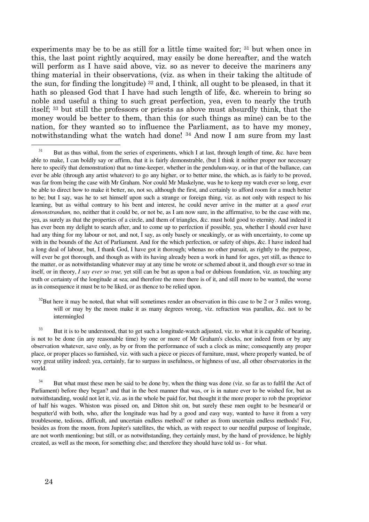experiments may be to be as still for a little time waited for; 31 but when once in this, the last point rightly acquired, may easily be done hereafter, and the watch will perform as I have said above, viz. so as never to deceive the mariners any thing material in their observations, (viz. as when in their taking the altitude of the sun, for finding the longitude) 32 and, I think, all ought to be pleased, in that it hath so pleased God that I have had such length of life, &c. wherein to bring so noble and useful a thing to such great perfection, yea, even to nearly the truth itself; 33 but still the professors or priests as above must absurdly think, that the money would be better to them, than this (or such things as mine) can be to the nation, for they wanted so to influence the Parliament, as to have my money, notwithstanding what the watch had done! 34 And now I am sure from my last

 $32$ But here it may be noted, that what will sometimes render an observation in this case to be 2 or 3 miles wrong, will or may by the moon make it as many degrees wrong, viz. refraction was parallax, &c. not to be intermingled

<sup>33</sup> But it is to be understood, that to get such a longitude-watch adjusted, viz. to what it is capable of bearing, is not to be done (in any reasonable time) by one or more of Mr Graham's clocks, nor indeed from or by any observation whatever, save only, as by or from the performance of such a clock as mine; consequently any proper place, or proper places so furnished, viz. with such a piece or pieces of furniture, must, where properly wanted, be of very great utility indeed; yea, certainly, far to surpass in usefulness, or highness of use, all other observatories in the world.

<sup>34</sup> But what must these men be said to be done by, when the thing was done (viz. so far as to fulfil the Act of Parliament) before they began? and that in the best manner that was, or is in nature ever to be wished for, but as notwithstanding, would not let it, viz. as in the whole be paid for, but thought it the more proper to rob the proprietor of half his wages. Whiston was pissed on, and Ditton shit on, but surely these men ought to be besmear'd or bespatter'd with both, who, after the longitude was had by a good and easy way, wanted to have it from a very troublesome, tedious, difficult, and uncertain endless method! or rather as from uncertain endless methods! For, besides as from the moon, from Jupiter's satellites, the which, as with respect to our needful purpose of longitude, are not worth mentioning; but still, or as notwithstanding, they certainly must, by the hand of providence, be highly created, as well as the moon, for something else; and therefore they should have told us - for what.

<sup>&</sup>lt;sup>31</sup> But as thus withal, from the series of experiments, which I at last, through length of time, &c. have been able to make, I can boldly say or affirm, that it is fairly demonstrable, (but I think it neither proper nor necessary here to specify that demonstration) that no time-keeper, whether in the pendulum-way, or in that of the ballance, can ever be able (through any artist whatever) to go any higher, or to better mine, the which, as is fairly to be proved, was far from being the case with Mr Graham. Nor could Mr Maskelyne, was he to keep my watch ever so long, ever be able to direct how to make it better, no, not so, although the first, and certainly to afford room for a much better to be; but I say, was he to set himself upon such a strange or foreign thing, viz. as not only with respect to his learning, but as withal contrary to his bent and interest, he could never arrive in the matter at a *quod erat demonstrandum,* no, neither that it could be, or not be, as I am now sure, in the affirmative, to be the case with me, yea, as surely as that the properties of a circle, and them of triangles, &c. must hold good to eternity. And indeed it has ever been my delight to search after, and to come up to perfection if possible, yea, whether I should ever have had any thing for my labour or not, and not, I say, as only basely or sneakingly, or as with uncertainty, to come up with in the bounds of the Act of Parliament. And for the which perfection, or safety of ships, &c. I have indeed had a long deal of labour, but, I thank God, I have got it thorough; whenas no other pursuit, as rightly to the purpose, will ever be got thorough, and though as with its having already been a work in hand for ages, yet still, as thence to the matter, or as notwithstanding whatever may at any time be wrote or schemed about it, and though ever so true in itself, or in theory, *I say ever so true,* yet still can be but as upon a bad or dubious foundation, viz. as touching any truth or certainty of the longitude at sea; and therefore the more there is of it, and still more to be wanted, the worse as in consequence it must be to be liked, or as thence to be relied upon.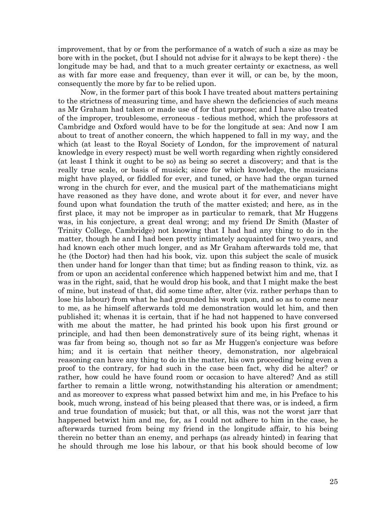improvement, that by or from the performance of a watch of such a size as may be bore with in the pocket, (but I should not advise for it always to be kept there) - the longitude may be had, and that to a much greater certainty or exactness, as well as with far more ease and frequency, than ever it will, or can be, by the moon, consequently the more by far to be relied upon.

 Now, in the former part of this book I have treated about matters pertaining to the strictness of measuring time, and have shewn the deficiencies of such means as Mr Graham had taken or made use of for that purpose; and I have also treated of the improper, troublesome, erroneous - tedious method, which the professors at Cambridge and Oxford would have to be for the longitude at sea: And now I am about to treat of another concern, the which happened to fall in my way, and the which (at least to the Royal Society of London, for the improvement of natural knowledge in every respect) must be well worth regarding when rightly considered (at least I think it ought to be so) as being so secret a discovery; and that is the really true scale, or basis of musick; since for which knowledge, the musicians might have played, or fiddled for ever, and tuned, or have had the organ turned wrong in the church for ever, and the musical part of the mathematicians might have reasoned as they have done, and wrote about it for ever, and never have found upon what foundation the truth of the matter existed; and here, as in the first place, it may not be improper as in particular to remark, that Mr Huggens was, in his conjecture, a great deal wrong; and my friend Dr Smith (Master of Trinity College, Cambridge) not knowing that I had had any thing to do in the matter, though he and I had been pretty intimately acquainted for two years, and had known each other much longer, and as Mr Graham afterwards told me, that he (the Doctor) had then had his book, viz. upon this subject the scale of musick then under hand for longer than that time; but as finding reason to think, viz. as from or upon an accidental conference which happened betwixt him and me, that I was in the right, said, that he would drop his book, and that I might make the best of mine, but instead of that, did some time after, alter (viz. rather perhaps than to lose his labour) from what he had grounded his work upon, and so as to come near to me, as he himself afterwards told me demonstration would let him, and then published it; whenas it is certain, that if he had not happened to have conversed with me about the matter, he had printed his book upon his first ground or principle, and had then been demonstratively sure of its being right, whenas it was far from being so, though not so far as Mr Huggen's conjecture was before him; and it is certain that neither theory, demonstration, nor algebraical reasoning can have any thing to do in the matter, his own proceeding being even a proof to the contrary, for had such in the case been fact, why did he alter? or rather, how could he have found room or occasion to have altered? And as still farther to remain a little wrong, notwithstanding his alteration or amendment; and as moreover to express what passed betwixt him and me, in his Preface to his book, much wrong, instead of his being pleased that there was, or is indeed, a firm and true foundation of musick; but that, or all this, was not the worst jarr that happened betwixt him and me, for, as I could not adhere to him in the case, he afterwards turned from being my friend in the longitude affair, to his being therein no better than an enemy, and perhaps (as already hinted) in fearing that he should through me lose his labour, or that his book should become of low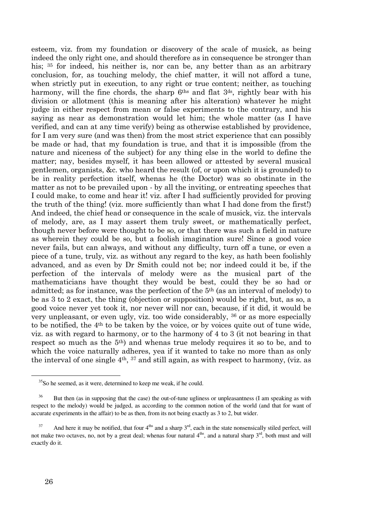esteem, viz. from my foundation or discovery of the scale of musick, as being indeed the only right one, and should therefore as in consequence be stronger than his; <sup>35</sup> for indeed, his neither is, nor can be, any better than as an arbitrary conclusion, for, as touching melody, the chief matter, it will not afford a tune, when strictly put in execution, to any right or true content; neither, as touching harmony, will the fine chords, the sharp  $6<sup>ths</sup>$  and flat  $3<sup>ds</sup>$ , rightly bear with his division or allotment (this is meaning after his alteration) whatever he might judge in either respect from mean or false experiments to the contrary, and his saying as near as demonstration would let him; the whole matter (as I have verified, and can at any time verify) being as otherwise established by providence, for I am very sure (and was then) from the most strict experience that can possibly be made or had, that my foundation is true, and that it is impossible (from the nature and niceness of the subject) for any thing else in the world to define the matter; nay, besides myself, it has been allowed or attested by several musical gentlemen, organists, &c. who heard the result (of, or upon which it is grounded) to be in reality perfection itself, whenas he (the Doctor) was so obstinate in the matter as not to be prevailed upon - by all the inviting, or entreating speeches that I could make, to come and hear it! viz. after I had sufficiently provided for proving the truth of the thing! (viz. more sufficiently than what I had done from the first!) And indeed, the chief head or consequence in the scale of musick, viz. the intervals of melody, are, as I may assert them truly sweet, or mathematically perfect, though never before were thought to be so, or that there was such a field in nature as wherein they could be so, but a foolish imagination sure! Since a good voice never fails, but can always, and without any difficulty, turn off a tune, or even a piece of a tune, truly, viz. as without any regard to the key, as hath been foolishly advanced, and as even by Dr Smith could not be; nor indeed could it be, if the perfection of the intervals of melody were as the musical part of the mathematicians have thought they would be best, could they be so had or admitted; as for instance, was the perfection of the 5th (as an interval of melody) to be as 3 to 2 exact, the thing (objection or supposition) would be right, but, as so, a good voice never yet took it, nor never will nor can, because, if it did, it would be very unpleasant, or even ugly, viz. too wide considerably, 36 or as more especially to be notified, the 4th to be taken by the voice, or by voices quite out of tune wide, viz. as with regard to harmony, or to the harmony of 4 to 3 (it not bearing in that respect so much as the 5th) and whenas true melody requires it so to be, and to which the voice naturally adheres, yea if it wanted to take no more than as only the interval of one single 4th, <sup>37</sup> and still again, as with respect to harmony, (viz. as

<sup>&</sup>lt;sup>35</sup>So he seemed, as it were, determined to keep me weak, if he could.

But then (as in supposing that the case) the out-of-tune ugliness or unpleasantness (I am speaking as with respect to the melody) would be judged, as according to the common notion of the world (and that for want of accurate experiments in the affair) to be as then, from its not being exactly as 3 to 2, but wider.

 $37$  And here it may be notified, that four  $4^{ths}$  and a sharp  $3^{rd}$ , each in the state nonsensically stiled perfect, will not make two octaves, no, not by a great deal; whenas four natural  $4^{ths}$ , and a natural sharp  $3^{rd}$ , both must and will exactly do it.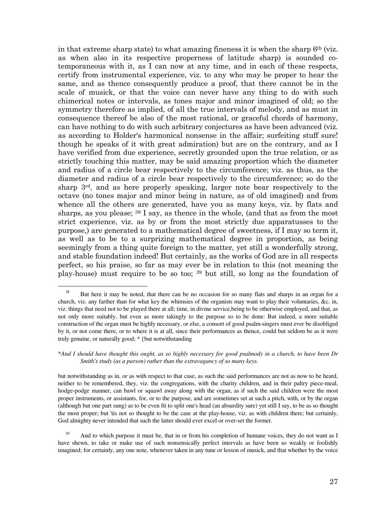in that extreme sharp state) to what amazing fineness it is when the sharp  $6<sup>th</sup>$  (viz. as when also in its respective properness of latitude sharp) is sounded cotemporaneous with it, as I can now at any time, and in each of these respects, certify from instrumental experience, viz. to any who may be proper to hear the same, and as thence consequently produce a proof, that there cannot be in the scale of musick, or that the voice can never have any thing to do with such chimerical notes or intervals, as tones major and minor imagined of old; so the symmetry therefore as implied, of all the true intervals of melody, and as must in consequence thereof be also of the most rational, or graceful chords of harmony, can have nothing to do with such arbitrary conjectures as have been advanced (viz. as according to Holder's harmonical nonsense in the affair; surfeiting stuff sure! though he speaks of it with great admiration) but are on the contrary, and as I have verified from due experience, secretly grounded upon the true relation, or as strictly touching this matter, may be said amazing proportion which the diameter and radius of a circle bear respectively to the circumference; viz. as thus, as the diameter and radius of a circle bear respectively to the circumference; so do the sharp 3rd, and as here properly speaking, larger note bear respectively to the octave (no tones major and minor being in nature, as of old imagined) and from whence all the others are generated, have you as many keys, viz. by flats and sharps, as you please; 38 I say, as thence in the whole, (and that as from the most strict experience, viz. as by or from the most strictly due apparatusses to the purpose,) are generated to a mathematical degree of sweetness, if I may so term it, as well as to be to a surprizing mathematical degree in proportion, as being seemingly from a thing quite foreign to the matter, yet still a wonderfully strong, and stable foundation indeed! But certainly, as the works of God are in all respects perfect, so his praise, so far as may ever be in relation to this (not meaning the play-house) must require to be so too; 39 but still, so long as the foundation of

But here it may be noted, that there can be no occasion for so many flats and sharps in an organ for a church, viz. any farther than for what key the whimsies of the organists may want to play their voluntaries, &c. in, viz. things that need not to be played there at all; time, in divine service,being to be otherwise employed, and that, as not only more suitably, but even as more takingly to the purpose so to be done: But indeed, a more suitable construction of the organ must be highly necessary, or else, a consort of good psalm-singers must ever be disobliged by it, or not come there, or to where it is at all, since their performances as thence, could but seldom be as it were truly genuine, or naturally good; \* {but notwithstanding

<sup>\*</sup>*And I should have thought this ought, as so highly necessary for good psalmody in a church, to have been Dr Smith's study (as a parson) rather than the extravagancy of so many keys.* 

but notwithstanding as in, or as with respect to that case, as such the said performances are not as now to be heard, neither to be remembered, they, viz. the congregations, with the charity children, and in their paltry piece-meal, hodge-podge manner, can bawl or squawl away along with the organ, as if such the said children were the most proper instruments, or assistants, for, or to the purpose, and are sometimes set at such a pitch, with, or by the organ (although but one part sung) as to be even fit to split one's head (an absurdity sure) yet still I say, to be as so thought the most proper; but 'tis not so thought to be the case at the play-house, viz. as with children there; but certainly, God almighty never intended that such the latter should ever excel or over-set the former.

<sup>&</sup>lt;sup>39</sup> And to which purpose it must be, that in or from his completion of humane voices, they do not want as I have shewn, to take or make use of such nonsensically perfect intervals as have been so weakly or foolishly imagined; for certainly, any one note, whenever taken in any tune or lesson of musick, and that whether by the voice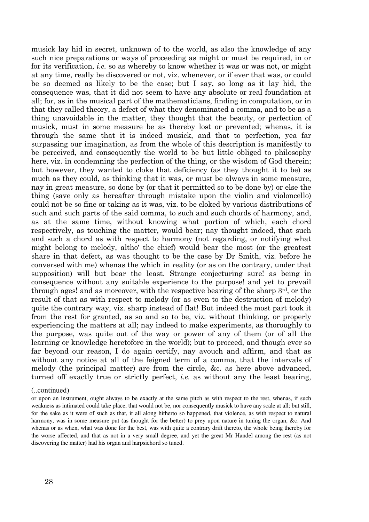musick lay hid in secret, unknown of to the world, as also the knowledge of any such nice preparations or ways of proceeding as might or must be required, in or for its verification, i.e. so as whereby to know whether it was or was not, or might at any time, really be discovered or not, viz. whenever, or if ever that was, or could be so deemed as likely to be the case; but I say, so long as it lay hid, the consequence was, that it did not seem to have any absolute or real foundation at all; for, as in the musical part of the mathematicians, finding in computation, or in that they called theory, a defect of what they denominated a comma, and to be as a thing unavoidable in the matter, they thought that the beauty, or perfection of musick, must in some measure be as thereby lost or prevented; whenas, it is through the same that it is indeed musick, and that to perfection, yea far surpassing our imagination, as from the whole of this description is manifestly to be perceived, and consequently the world to be but little obliged to philosophy here, viz. in condemning the perfection of the thing, or the wisdom of God therein; but however, they wanted to cloke that deficiency (as they thought it to be) as much as they could, as thinking that it was, or must be always in some measure, nay in great measure, so done by (or that it permitted so to be done by) or else the thing (save only as hereafter through mistake upon the violin and violoncello) could not be so fine or taking as it was, viz. to be cloked by various distributions of such and such parts of the said comma, to such and such chords of harmony, and, as at the same time, without knowing what portion of which, each chord respectively, as touching the matter, would bear; nay thought indeed, that such and such a chord as with respect to harmony (not regarding, or notifying what might belong to melody, altho' the chief) would bear the most (or the greatest share in that defect, as was thought to be the case by Dr Smith, viz. before he conversed with me) whenas the which in reality (or as on the contrary, under that supposition) will but bear the least. Strange conjecturing sure! as being in consequence without any suitable experience to the purpose! and yet to prevail through ages! and as moreover, with the respective bearing of the sharp 3rd, or the result of that as with respect to melody (or as even to the destruction of melody) quite the contrary way, viz. sharp instead of flat! But indeed the most part took it from the rest for granted, as so and so to be, viz. without thinking, or properly experiencing the matters at all; nay indeed to make experiments, as thoroughly to the purpose, was quite out of the way or power of any of them (or of all the learning or knowledge heretofore in the world); but to proceed, and though ever so far beyond our reason, I do again certify, nay avouch and affirm, and that as without any notice at all of the feigned term of a comma, that the intervals of melody (the principal matter) are from the circle, &c. as here above advanced, turned off exactly true or strictly perfect, i.e. as without any the least bearing,

#### (..continued)

or upon an instrument, ought always to be exactly at the same pitch as with respect to the rest, whenas, if such weakness as intimated could take place, that would not be, nor consequently musick to have any scale at all; but still, for the sake as it were of such as that, it all along hitherto so happened, that violence, as with respect to natural harmony, was in some measure put (as thought for the better) to prey upon nature in tuning the organ, &c. And whenas or as when, what was done for the best, was with quite a contrary drift thereto, the whole being thereby for the worse affected, and that as not in a very small degree, and yet the great Mr Handel among the rest (as not discovering the matter) had his organ and harpsichord so tuned.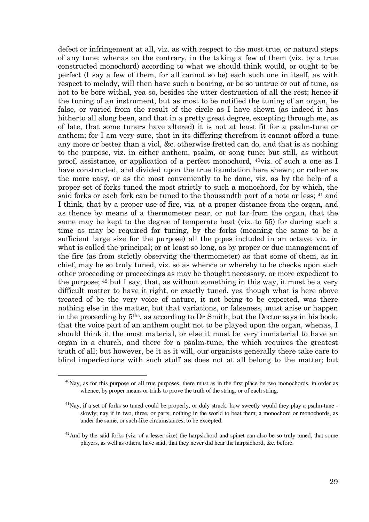defect or infringement at all, viz. as with respect to the most true, or natural steps of any tune; whenas on the contrary, in the taking a few of them (viz. by a true constructed monochord) according to what we should think would, or ought to be perfect (I say a few of them, for all cannot so be) each such one in itself, as with respect to melody, will then have such a bearing, or be so untrue or out of tune, as not to be bore withal, yea so, besides the utter destruction of all the rest; hence if the tuning of an instrument, but as most to be notified the tuning of an organ, be false, or varied from the result of the circle as I have shewn (as indeed it has hitherto all along been, and that in a pretty great degree, excepting through me, as of late, that some tuners have altered) it is not at least fit for a psalm-tune or anthem; for I am very sure, that in its differing therefrom it cannot afford a tune any more or better than a viol, &c. otherwise fretted can do, and that is as nothing to the purpose, viz. in either anthem, psalm, or song tune; but still, as without proof, assistance, or application of a perfect monochord,  $40$ viz, of such a one as I have constructed, and divided upon the true foundation here shewn; or rather as the more easy, or as the most conveniently to be done, viz. as by the help of a proper set of forks tuned the most strictly to such a monochord, for by which, the said forks or each fork can be tuned to the thousandth part of a note or less; 41 and I think, that by a proper use of fire, viz. at a proper distance from the organ, and as thence by means of a thermometer near, or not far from the organ, that the same may be kept to the degree of temperate heat (viz. to 55) for during such a time as may be required for tuning, by the forks (meaning the same to be a sufficient large size for the purpose) all the pipes included in an octave, viz. in what is called the principal; or at least so long, as by proper or due management of the fire (as from strictly observing the thermometer) as that some of them, as in chief, may be so truly tuned, viz. so as whence or whereby to be checks upon such other proceeding or proceedings as may be thought necessary, or more expedient to the purpose; 42 but I say, that, as without something in this way, it must be a very difficult matter to have it right, or exactly tuned, yea though what is here above treated of be the very voice of nature, it not being to be expected, was there nothing else in the matter, but that variations, or falseness, must arise or happen in the proceeding by 5ths, as according to Dr Smith; but the Doctor says in his book, that the voice part of an anthem ought not to be played upon the organ, whenas, I should think it the most material, or else it must be very immaterial to have an organ in a church, and there for a psalm-tune, the which requires the greatest truth of all; but however, be it as it will, our organists generally there take care to blind imperfections with such stuff as does not at all belong to the matter; but

 $^{40}$ Nay, as for this purpose or all true purposes, there must as in the first place be two monochords, in order as whence, by proper means or trials to prove the truth of the string, or of each string.

 $^{41}$ Nay, if a set of forks so tuned could be properly, or duly struck, how sweetly would they play a psalm-tune slowly; nay if in two, three, or parts, nothing in the world to beat them; a monochord or monochords, as under the same, or such-like circumstances, to be excepted.

 $^{42}$ And by the said forks (viz. of a lesser size) the harpsichord and spinet can also be so truly tuned, that some players, as well as others, have said, that they never did hear the harpsichord, &c. before.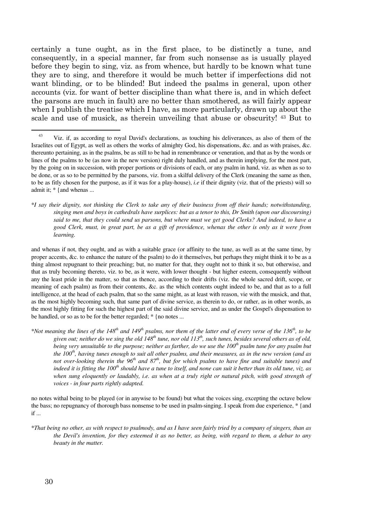certainly a tune ought, as in the first place, to be distinctly a tune, and consequently, in a special manner, far from such nonsense as is usually played before they begin to sing, viz. as from whence, but hardly to be known what tune they are to sing, and therefore it would be much better if imperfections did not want blinding, or to be blinded! But indeed the psalms in general, upon other accounts (viz. for want of better discipline than what there is, and in which defect the parsons are much in fault) are no better than smothered, as will fairly appear when I publish the treatise which I have, as more particularly, drawn up about the scale and use of musick, as therein unveiling that abuse or obscurity! 43 But to

\**I say their dignity, not thinking the Clerk to take any of their business from off their hands; notwithstanding, singing men and boys in cathedrals have surplices: but as a tenor to this, Dr Smith (upon our discoursing) said to me, that they could send us parsons, but where must we get good Clerks? And indeed, to have a good Clerk, must, in great part, be as a gift of providence, whenas the other is only as it were from learning.*

and whenas if not, they ought, and as with a suitable grace (or affinity to the tune, as well as at the same time, by proper accents, &c. to enhance the nature of the psalm) to do it themselves, but perhaps they might think it to be as a thing almost repugnant to their preaching; but, no matter for that, they ought not to think it so, but otherwise, and that as truly becoming thereto, viz. to be, as it were, with lower thought - but higher esteem, consequently without any the least pride in the matter, so that as thence, according to their drifts (viz. the whole sacred drift, scope, or meaning of each psalm) as from their contents, &c. as the which contents ought indeed to be, and that as to a full intelligence, at the head of each psalm, that so the same might, as at least with reason, vie with the musick, and that, as the most highly becoming such, that same part of divine service, as therein to do, or rather, as in other words, as the most highly fitting for such the highest part of the said divine service, and as under the Gospel's dispensation to be handled, or so as to be for the better regarded; \* {no notes ...

\**Not meaning the lines of the 148th and 149th psalms, nor them of the latter end of every verse of the 136th, to be given out; neither do we sing the old 148th tune, nor old 113th, such tunes, besides several others as of old, being very unsuitable to the purpose; neither as farther, do we use the 100th psalm tune for any psalm but the 100th, having tunes enough to suit all other psalms, and their measures, as in the new version (and as not over-looking therein the 96th and 87th, but for which psalms to have fine and suitable tunes) and indeed it is fitting the 100th should have a tune to itself, and none can suit it better than its old tune, viz. as when sung eloquently or laudably, i.e. as when at a truly right or natural pitch, with good strength of voices - in four parts rightly adapted.*

no notes withal being to be played (or in anywise to be found) but what the voices sing, excepting the octave below the bass; no repugnancy of thorough bass nonsense to be used in psalm-singing. I speak from due experience, \* {and if ...

\**That being no other, as with respect to psalmody, and as I have seen fairly tried by a company of singers, than as the Devil's invention, for they esteemed it as no better, as being, with regard to them, a debar to any beauty in the matter.*

<sup>&</sup>lt;sup>43</sup> Viz. if, as according to royal David's declarations, as touching his deliverances, as also of them of the Israelites out of Egypt, as well as others the works of almighty God, his dispensations, &c. and as with praises, &c. thereunto pertaining, as in the psalms, be as still to be had in remembrance or veneration, and that as by the words or lines of the psalms to be (as now in the new version) right duly handled, and as therein implying, for the most part, by the going on in succession, with proper portions or divisions of each, or any psalm in hand, viz. as when as so to be done, or as so to be permitted by the parsons, viz. from a skilful delivery of the Clerk (meaning the same as then, to be as fitly chosen for the purpose, as if it was for a play-house), *i.e* if their dignity (viz. that of the priests) will so admit it; \* {and whenas ...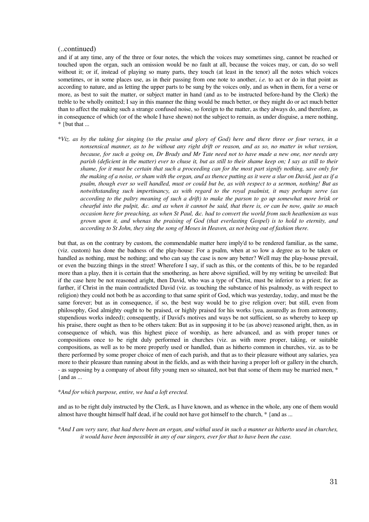#### (..continued)

and if at any time, any of the three or four notes, the which the voices may sometimes sing, cannot be reached or touched upon the organ, such an omission would be no fault at all, because the voices may, or can, do so well without it; or if, instead of playing so many parts, they touch (at least in the tenor) all the notes which voices sometimes, or in some places use, as in their passing from one note to another, *i.e.* to act or do in that point as according to nature, and as letting the upper parts to be sung by the voices only, and as when in them, for a verse or more, as best to suit the matter, or subject matter in hand (and as to be instructed before-hand by the Clerk) the treble to be wholly omitted; I say in this manner the thing would be much better, or they might do or act much better than to affect the making such a strange confused noise, so foreign to the matter, as they always do, and therefore, as in consequence of which (or of the whole I have shewn) not the subject to remain, as under disguise, a mere nothing, \* {but that ...

\**Viz. as by the taking for singing (to the praise and glory of God) here and there three or four verses, in a nonsensical manner, as to be without any right drift or reason, and as so, no matter in what version, because, for such a going on, Dr Brady and Mr Tate need not to have made a new one, nor needs any parish (deficient in the matter) ever to chuse it, but as still to their shame keep on; I say as still to their shame, for it must be certain that such a proceeding can for the most part signify nothing, save only for the making of a noise, or sham with the organ, and as thence putting as it were a slur on David, just as if a psalm, though ever so well handled, must or could but be, as with respect to a sermon, nothing! But as notwithstanding such impertinancy, as with regard to the royal psalmist, it may perhaps serve (as according to the paltry meaning of such a drift) to make the parson to go up somewhat more brisk or chearful into the pulpit, &c. and as when it cannot be said, that there is, or can be now, quite so much occasion here for preaching, as when St Paul, &c. had to convert the world from such heathenism as was grown upon it, and whenas the praising of God (that everlasting Gospel) is to hold to eternity, and according to St John, they sing the song of Moses in Heaven, as not being out of fashion there.*

but that, as on the contrary by custom, the commendable matter here imply'd to be rendered familiar, as the same, (viz. custom) has done the badness of the play-house: For a psalm, when at so low a degree as to be taken or handled as nothing, must be nothing; and who can say the case is now any better? Well may the play-house prevail, or even the buzzing things in the street! Wherefore I say, if such as this, or the contents of this, be to be regarded more than a play, then it is certain that the smothering, as here above signified, will by my writing be unveiled: But if the case here be not reasoned aright, then David, who was a type of Christ, must be inferior to a priest; for as farther, if Christ in the main contradicted David (viz. as touching the substance of his psalmody, as with respect to religion) they could not both be as according to that same spirit of God, which was yesterday, today, and must be the same forever; but as in consequence, if so, the best way would be to give religion over; but still, even from philosophy, God almighty ought to be praised, or highly praised for his works (yea, assuredly as from astronomy, stupendious works indeed); consequently, if David's motives and ways be not sufficient, so as whereby to keep up his praise, there ought as then to be others taken: But as in supposing it to be (as above) reasoned aright, then, as in consequence of which, was this highest piece of worship, as here advanced, and as with proper tunes or compositions once to be right duly performed in churches (viz. as with more proper, taking, or suitable compositions, as well as to be more properly used or handled, than as hitherto common in churches, viz. as to be there performed by some proper choice of men of each parish, and that as to their pleasure without any salaries, yea more to their pleasure than running about in the fields, and as with their having a proper loft or gallery in the church, - as supposing by a company of about fifty young men so situated, not but that some of them may be married men, \* {and as ...

#### \**And for which purpose, entire, we had a loft erected.*

and as to be right duly instructed by the Clerk, as I have known, and as whence in the whole, any one of them would almost have thought himself half dead, if he could not have got himself to the church, \* {and as ...

\**And I am very sure, that had there been an organ, and withal used in such a manner as hitherto used in churches, it would have been impossible in any of our singers, ever for that to have been the case.*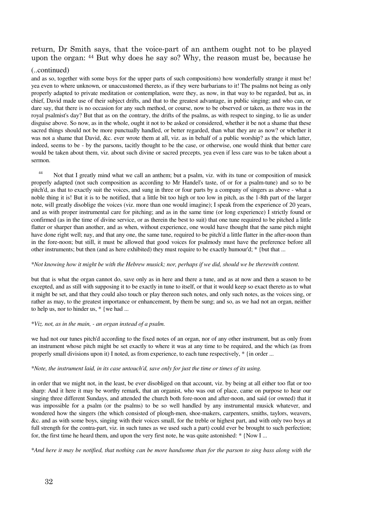## return, Dr Smith says, that the voice-part of an anthem ought not to be played upon the organ: 44 But why does he say so? Why, the reason must be, because he

#### (..continued)

and as so, together with some boys for the upper parts of such compositions) how wonderfully strange it must be! yea even to where unknown, or unaccustomed thereto, as if they were barbarians to it! The psalms not being as only properly adapted to private meditation or contemplation, were they, as now, in that way to be regarded, but as, in chief, David made use of their subject drifts, and that to the greatest advantage, in public singing; and who can, or dare say, that there is no occasion for any such method, or course, now to be observed or taken, as there was in the royal psalmist's day? But that as on the contrary, the drifts of the psalms, as with respect to singing, to lie as under disguise above. So now, as in the whole, ought it not to be asked or considered, whether it be not a shame that these sacred things should not be more punctually handled, or better regarded, than what they are as now? or whether it was not a shame that David, &c. ever wrote them at all, viz. as in behalf of a public worship? as the which latter, indeed, seems to be - by the parsons, tacitly thought to be the case, or otherwise, one would think that better care would be taken about them, viz. about such divine or sacred precepts, yea even if less care was to be taken about a sermon.

<sup>44</sup> Not that I greatly mind what we call an anthem; but a psalm, viz. with its tune or composition of musick properly adapted (not such composition as according to Mr Handel's taste, of or for a psalm-tune) and so to be pitch'd, as that to exactly suit the voices, and sung in three or four parts by a company of singers as above - what a noble thing it is! But it is to be notified, that a little bit too high or too low in pitch, as the 1-8th part of the larger note, will greatly disoblige the voices (viz. more than one would imagine); I speak from the experience of 20 years, and as with proper instrumental care for pitching; and as in the same time (or long experience) I strictly found or confirmed (as in the time of divine service, or as therein the best to suit) that one tune required to be pitched a little flatter or sharper than another, and as when, without experience, one would have thought that the same pitch might have done right well; nay, and that any one, the same tune, required to be pitch'd a little flatter in the after-noon than in the fore-noon; but still, it must be allowed that good voices for psalmody must have the preference before all other instruments; but then (and as here exhibited) they must require to be exactly humour'd; \* {but that ...

#### \**Not knowing how it might be with the Hebrew musick; nor, perhaps if we did, should we be therewith content.*

but that is what the organ cannot do, save only as in here and there a tune, and as at now and then a season to be excepted, and as still with supposing it to be exactly in tune to itself, or that it would keep so exact thereto as to what it might be set, and that they could also touch or play thereon such notes, and only such notes, as the voices sing, or rather as may, to the greatest importance or enhancement, by them be sung; and so, as we had not an organ, neither to help us, nor to hinder us, \* {we had ...

#### \**Viz. not, as in the main, - an organ instead of a psalm.*

we had not our tunes pitch'd according to the fixed notes of an organ, nor of any other instrument, but as only from an instrument whose pitch might be set exactly to where it was at any time to be required, and the which (as from properly small divisions upon it) I noted, as from experience, to each tune respectively, \* {in order ...

#### \**Note, the instrument laid, in its case untouch'd, save only for just the time or times of its using.*

in order that we might not, in the least, be ever disobliged on that account, viz. by being at all either too flat or too sharp: And it here it may be worthy remark, that an organist, who was out of place, came on purpose to hear our singing three different Sundays, and attended the church both fore-noon and after-noon, and said (or owned) that it was impossible for a psalm (or the psalms) to be so well handled by any instrumental musick whatever, and wondered how the singers (the which consisted of plough-men, shoe-makers, carpenters, smiths, taylors, weavers, &c. and as with some boys, singing with their voices small, for the treble or highest part, and with only two boys at full strength for the contra-part, viz. in such tunes as we used such a part) could ever be brought to such perfection; for, the first time he heard them, and upon the very first note, he was quite astonished: \* {Now I ...

\**And here it may be notified, that nothing can be more handsome than for the parson to sing bass along with the*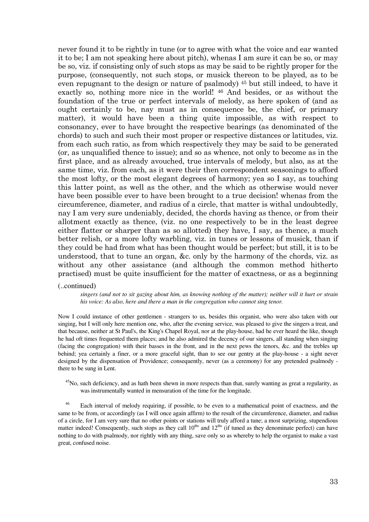never found it to be rightly in tune (or to agree with what the voice and ear wanted it to be; I am not speaking here about pitch), whenas I am sure it can be so, or may be so, viz. if consisting only of such stops as may be said to be rightly proper for the purpose, (consequently, not such stops, or musick thereon to be played, as to be even repugnant to the design or nature of psalmody) <sup>45</sup> but still indeed, to have it exactly so, nothing more nice in the world! 46 And besides, or as without the foundation of the true or perfect intervals of melody, as here spoken of (and as ought certainly to be, nay must as in consequence be, the chief, or primary matter), it would have been a thing quite impossible, as with respect to consonancy, ever to have brought the respective bearings (as denominated of the chords) to such and such their most proper or respective distances or latitudes, viz. from each such ratio, as from which respectively they may be said to be generated (or, as unqualified thence to issue); and so as whence, not only to become as in the first place, and as already avouched, true intervals of melody, but also, as at the same time, viz. from each, as it were their then correspondent seasonings to afford the most lofty, or the most elegant degrees of harmony; yea so I say, as touching this latter point, as well as the other, and the which as otherwise would never have been possible ever to have been brought to a true decision! whenas from the circumference, diameter, and radius of a circle, that matter is withal undoubtedly, nay I am very sure undeniably, decided, the chords having as thence, or from their allotment exactly as thence, (viz. no one respectively to be in the least degree either flatter or sharper than as so allotted) they have, I say, as thence, a much better relish, or a more lofty warbling, viz. in tunes or lessons of musick, than if they could be had from what has been thought would be perfect; but still, it is to be understood, that to tune an organ, &c. only by the harmony of the chords, viz. as without any other assistance (and although the common method hitherto practised) must be quite insufficient for the matter of exactness, or as a beginning

#### (..continued)

*singers (and not to sit gazing about him, as knowing nothing of the matter); neither will it hurt or strain his voice: As also, here and there a man in the congregation who cannot sing tenor.*

Now I could instance of other gentlemen - strangers to us, besides this organist, who were also taken with our singing, but I will only here mention one, who, after the evening service, was pleased to give the singers a treat, and that because, neither at St Paul's, the King's Chapel Royal, nor at the play-house, had he ever heard the like, though he had oft times frequented them places; and he also admired the decency of our singers, all standing when singing (facing the congregation) with their basses in the front, and in the next pews the tenors, &c. and the trebles up behind; yea certainly a finer, or a more graceful sight, than to see our gentry at the play-house - a sight never designed by the dispensation of Providence; consequently, never (as a ceremony) for any pretended psalmody there to be sung in Lent.

 $45$ No, such deficiency, and as hath been shewn in more respects than that, surely wanting as great a regularity, as was instrumentally wanted in mensuration of the time for the longitude.

<sup>46</sup> Each interval of melody requiring, if possible, to be even to a mathematical point of exactness, and the same to be from, or accordingly (as I will once again affirm) to the result of the circumference, diameter, and radius of a circle, for I am very sure that no other points or stations will truly afford a tune; a most surprizing, stupendious matter indeed! Consequently, such stops as they call  $10<sup>ths</sup>$  and  $12<sup>ths</sup>$  (if tuned as they denominate perfect) can have nothing to do with psalmody, nor rightly with any thing, save only so as whereby to help the organist to make a vast great, confused noise.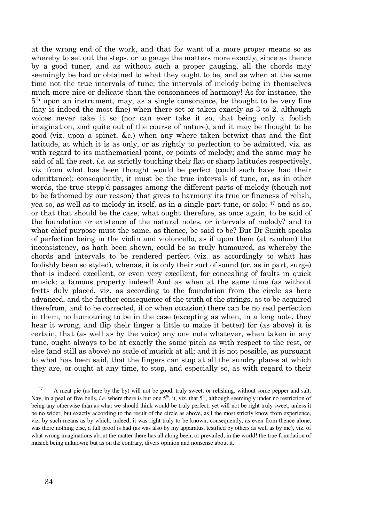at the wrong end of the work, and that for want of a more proper means so as whereby to set out the steps, or to gauge the matters more exactly, since as thence by a good tuner, and as without such a proper gauging, all the chords may seemingly be had or obtained to what they ought to be, and as when at the same time not the true intervals of tune; the intervals of melody being in themselves much more nice or delicate than the consonances of harmony! As for instance, the 5th upon an instrument, may, as a single consonance, be thought to be very fine (nay is indeed the most fine) when there set or taken exactly as 3 to 2, although voices never take it so (nor can ever take it so, that being only a foolish imagination, and quite out of the course of nature), and it may be thought to be good (viz. upon a spinet, &c.) when any where taken betwixt that and the flat latitude, at which it is as only, or as rightly to perfection to be admitted, viz. as with regard to its mathematical point, or points of melody; and the same may be said of all the rest, *i.e.* as strictly touching their flat or sharp latitudes respectively, viz. from what has been thought would be perfect (could such have had their admittance); consequently, it must be the true intervals of tune, or, as in other words, the true stepp'd passages among the different parts of melody (though not to be fathomed by our reason) that gives to harmony its true or fineness of relish, yea so, as well as to melody in itself, as in a single part tune, or solo; 47 and as so, or that that should be the case, what ought therefore, as once again, to be said of the foundation or existence of the natural notes, or intervals of melody? and to what chief purpose must the same, as thence, be said to be? But Dr Smith speaks of perfection being in the violin and violoncello, as if upon them (at random) the inconsistency, as hath been shewn, could be so truly humoured, as whereby the chords and intervals to be rendered perfect (viz. as accordingly to what has foolishly been so styled), whenas, it is only their sort of sound (or, as in part, surge) that is indeed excellent, or even very excellent, for concealing of faults in quick musick; a famous property indeed! And as when at the same time (as without fretts duly placed, viz. as according to the foundation from the circle as here advanced, and the farther consequence of the truth of the strings, as to be acquired therefrom, and to be corrected, if or when occasion) there can be no real perfection in them, no humouring to be in the case (excepting as when, in a long note, they hear it wrong, and flip their finger a little to make it better) for (as above) it is certain, that (as well as by the voice) any one note whatever, when taken in any tune, ought always to be at exactly the same pitch as with respect to the rest, or else (and still as above) no scale of musick at all; and it is not possible, as pursuant to what has been said, that the fingers can stop at all the sundry places at which they are, or ought at any time, to stop, and especially so, as with regard to their

<sup>&</sup>lt;sup>47</sup> A meat pie (as here by the by) will not be good, truly sweet, or relishing, without some pepper and salt: Nay, in a peal of five bells, *i.e.* where there is but one  $5<sup>th</sup>$ , it, viz. that  $5<sup>th</sup>$ , although seemingly under no restriction of being any otherwise than as what we should think would be truly perfect, yet will not be right truly sweet, unless it be no wider, but exactly according to the result of the circle as above, as I the most strictly know from experience, viz. by such means as by which, indeed, it was right truly to be known; consequently, as even from thence alone, was there nothing else, a full proof is had (as was also by my apparatus, testified by others as well as by me), viz. of what wrong imaginations about the matter there has all along been, or prevailed, in the world! the true foundation of musick being unknown; but as on the contrary, divers opinion and nonsense about it.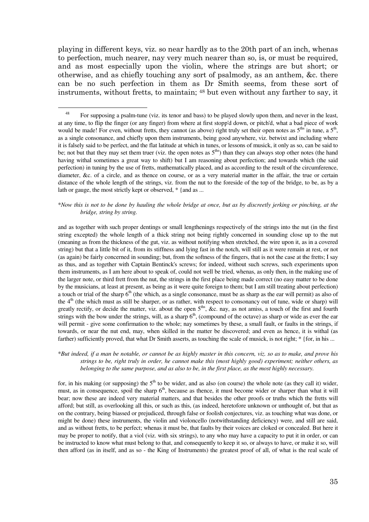playing in different keys, viz. so near hardly as to the 20th part of an inch, whenas to perfection, much nearer, nay very much nearer than so, is, or must be required, and as most especially upon the violin, where the strings are but short; or otherwise, and as chiefly touching any sort of psalmody, as an anthem, &c. there can be no such perfection in them as Dr Smith seems, from these sort of instruments, without fretts, to maintain; 48 but even without any farther to say, it

 $\overline{a}$ 

#### \**Now this is not to be done by hauling the whole bridge at once, but as by discreetly jerking or pinching, at the bridge, string by string.*

and as together with such proper dentings or small lengthenings respectively of the strings into the nut (in the first string excepted) the whole length of a thick string not being rightly concerned in sounding close up to the nut (meaning as from the thickness of the gut, viz. as without notifying when stretched, the wire upon it, as in a covered string) but that a little bit of it, from its stiffness and lying fast in the notch, will still as it were remain at rest, or not (as again) be fairly concerned in sounding; but, from the softness of the fingers, that is not the case at the fretts; I say as thus, and as together with Captain Bentinck's screws; for indeed, without such screws, such experiments upon them instruments, as I am here about to speak of, could not well be tried, whenas, as only then, in the making use of the larger note, or third frett from the nut, the strings in the first place being made correct (no easy matter to be done by the musicians, at least at present, as being as it were quite foreign to them; but I am still treating about perfection) a touch or trial of the sharp  $6<sup>th</sup>$  (the which, as a single consonance, must be as sharp as the ear will permit) as also of the  $4<sup>th</sup>$  (the which must as still be sharper, or as rather, with respect to consonancy out of tune, wide or sharp) will greatly rectify, or decide the matter, viz. about the open  $5<sup>ths</sup>$ , &c. nay, as not amiss, a touch of the first and fourth strings with the bow under the strings, will, as a sharp  $6<sup>th</sup>$ , (compound of the octave) as sharp or wide as ever the ear will permit - give some confirmation to the whole; nay sometimes by these, a small fault, or faults in the strings, if towards, or near the nut end, may, when skilled in the matter be discovered; and even as hence, it is withal (as farther) sufficiently proved, that what Dr Smith asserts, as touching the scale of musick, is not right; \* {for, in his ...

#### \**But indeed, if a man be notable, or cannot be as highly master in this concern, viz. so as to make, and prove his strings to be, right truly in order, he cannot make this (most highly good) experiment; neither others, as belonging to the same purpose, and as also to be, in the first place, as the most highly necessary.*

for, in his making (or supposing) the  $5<sup>th</sup>$  to be wider, and as also (on course) the whole note (as they call it) wider, must, as in consequence, spoil the sharp  $6<sup>th</sup>$ , because as thence, it must become wider or sharper than what it will bear; now these are indeed very material matters, and that besides the other proofs or truths which the fretts will afford; but still, as overlooking all this, or such as this, (as indeed, heretofore unknown or unthought of, but that as on the contrary, being biassed or prejudiced, through false or foolish conjectures, viz. as touching what was done, or might be done) these instruments, the violin and violoncello (notwithstanding deficiency) were, and still are said, and as without fretts, to be perfect; whenas it must be, that faults by their voices are cloked or concealed. But here it may be proper to notify, that a viol (viz. with six strings), to any who may have a capacity to put it in order, or can be instructed to know what must belong to that, and consequently to keep it so, or always to have, or make it so, will then afford (as in itself, and as so - the King of Instruments) the greatest proof of all, of what is the real scale of

<sup>&</sup>lt;sup>48</sup> For supposing a psalm-tune (viz. its tenor and bass) to be played slowly upon them, and never in the least, at any time, to flip the finger (or any finger) from where at first stopp'd down, or pitch'd, what a bad piece of work would be made! For even, without fretts, they cannot (as above) right truly set their open notes as  $5<sup>ths</sup>$  in tune, a  $5<sup>th</sup>$ , as a single consonance, and chiefly upon them instruments, being good anywhere, viz. betwixt and including where it is falsely said to be perfect, and the flat latitude at which in tunes, or lessons of musick, it only as so, can be said to be; not but that they may set them truer (viz. the open notes as  $5<sup>ths</sup>$ ) than they can always stop other notes (the hand having withal sometimes a great way to shift) but I am reasoning about perfection; and towards which (the said perfection) in tuning by the use of fretts, mathematically placed, and as according to the result of the circumference, diameter, &c. of a circle, and as thence on course, or as a very material matter in the affair, the true or certain distance of the whole length of the strings, viz. from the nut to the foreside of the top of the bridge, to be, as by a lath or gauge, the most strictly kept or observed,  $*$  {and as ...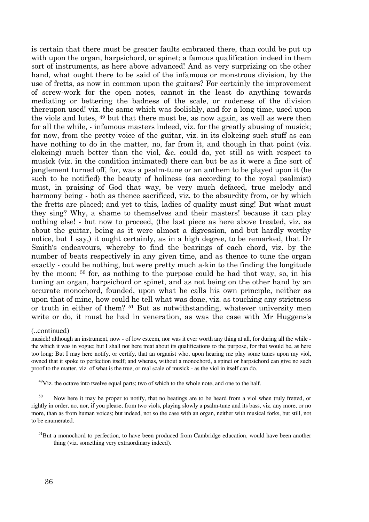is certain that there must be greater faults embraced there, than could be put up with upon the organ, harpsichord, or spinet; a famous qualification indeed in them sort of instruments, as here above advanced! And as very surprizing on the other hand, what ought there to be said of the infamous or monstrous division, by the use of fretts, as now in common upon the guitars? For certainly the improvement of screw-work for the open notes, cannot in the least do anything towards mediating or bettering the badness of the scale, or rudeness of the division thereupon used! viz. the same which was foolishly, and for a long time, used upon the viols and lutes, 49 but that there must be, as now again, as well as were then for all the while, - infamous masters indeed, viz. for the greatly abusing of musick; for now, from the pretty voice of the guitar, viz. in its clokeing such stuff as can have nothing to do in the matter, no, far from it, and though in that point (viz. clokeing) much better than the viol, &c. could do, yet still as with respect to musick (viz. in the condition intimated) there can but be as it were a fine sort of janglement turned off, for, was a psalm-tune or an anthem to be played upon it (be such to be notified) the beauty of holiness (as according to the royal psalmist) must, in praising of God that way, be very much defaced, true melody and harmony being - both as thence sacrificed, viz. to the absurdity from, or by which the fretts are placed; and yet to this, ladies of quality must sing! But what must they sing? Why, a shame to themselves and their masters! because it can play nothing else! - but now to proceed, (the last piece as here above treated, viz. as about the guitar, being as it were almost a digression, and but hardly worthy notice, but I say,) it ought certainly, as in a high degree, to be remarked, that Dr Smith's endeavours, whereby to find the bearings of each chord, viz. by the number of beats respectively in any given time, and as thence to tune the organ exactly - could be nothing, but were pretty much a-kin to the finding the longitude by the moon; 50 for, as nothing to the purpose could be had that way, so, in his tuning an organ, harpsichord or spinet, and as not being on the other hand by an accurate monochord, founded, upon what he calls his own principle, neither as upon that of mine, how could he tell what was done, viz. as touching any strictness or truth in either of them? 51 But as notwithstanding, whatever university men write or do, it must be had in veneration, as was the case with Mr Huggens's

#### (..continued)

musick! although an instrument, now - of low esteem, nor was it ever worth any thing at all, for during all the while the which it was in vogue; but I shall not here treat about its qualifications to the purpose, for that would be, as here too long: But I may here notify, or certify, that an organist who, upon hearing me play some tunes upon my viol, owned that it spoke to perfection itself; and whenas, without a monochord, a spinet or harpsichord can give no such proof to the matter, viz. of what is the true, or real scale of musick - as the viol in itself can do.

 $49$ Viz. the octave into twelve equal parts; two of which to the whole note, and one to the half.

<sup>50</sup> Now here it may be proper to notify, that no beatings are to be heard from a viol when truly fretted, or rightly in order, no, nor, if you please, from two viols, playing slowly a psalm-tune and its bass, viz. any more, or no more, than as from human voices; but indeed, not so the case with an organ, neither with musical forks, but still, not to be enumerated.

 $<sup>51</sup>But$  a monochord to perfection, to have been produced from Cambridge education, would have been another</sup> thing (viz. something very extraordinary indeed).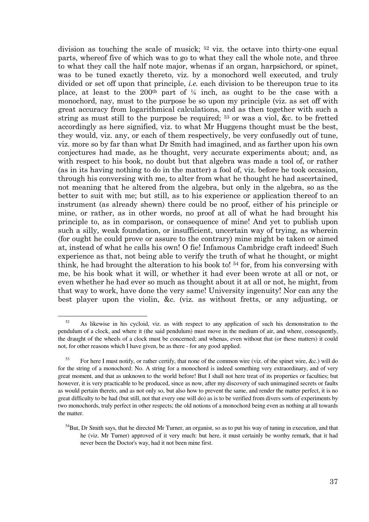division as touching the scale of musick; 52 viz. the octave into thirty-one equal parts, whereof five of which was to go to what they call the whole note, and three to what they call the half note major, whenas if an organ, harpsichord, or spinet, was to be tuned exactly thereto, viz. by a monochord well executed, and truly divided or set off upon that principle, *i.e.* each division to be thereupon true to its place, at least to the 200<sup>th</sup> part of  $\frac{1}{4}$  inch, as ought to be the case with a monochord, nay, must to the purpose be so upon my principle (viz. as set off with great accuracy from logarithmical calculations, and as then together with such a string as must still to the purpose be required; 53 or was a viol, &c. to be fretted accordingly as here signified, viz. to what Mr Huggens thought must be the best, they would, viz. any, or each of them respectively, be very confusedly out of tune, viz. more so by far than what Dr Smith had imagined, and as farther upon his own conjectures had made, as he thought, very accurate experiments about; and, as with respect to his book, no doubt but that algebra was made a tool of, or rather (as in its having nothing to do in the matter) a fool of, viz. before he took occasion, through his conversing with me, to alter from what he thought he had ascertained, not meaning that he altered from the algebra, but only in the algebra, so as the better to suit with me; but still, as to his experience or application thereof to an instrument (as already shewn) there could be no proof, either of his principle or mine, or rather, as in other words, no proof at all of what he had brought his principle to, as in comparison, or consequence of mine! And yet to publish upon such a silly, weak foundation, or insufficient, uncertain way of trying, as wherein (for ought he could prove or assure to the contrary) mine might be taken or aimed at, instead of what he calls his own! O fie! Infamous Cambridge craft indeed! Such experience as that, not being able to verify the truth of what he thought, or might think, he had brought the alteration to his book to! 54 for, from his conversing with me, be his book what it will, or whether it had ever been wrote at all or not, or even whether he had ever so much as thought about it at all or not, he might, from that way to work, have done the very same! University ingenuity! Nor can any the best player upon the violin, &c. (viz. as without fretts, or any adjusting, or

<sup>&</sup>lt;sup>52</sup> As likewise in his cycloid, viz. as with respect to any application of such his demonstration to the pendulum of a clock, and where it (the said pendulum) must move in the medium of air, and where, consequently, the draught of the wheels of a clock must be concerned; and whenas, even without that (or these matters) it could not, for other reasons which I have given, be as there - for any good applied.

<sup>&</sup>lt;sup>53</sup> For here I must notify, or rather certify, that none of the common wire (viz. of the spinet wire, &c.) will do for the string of a monochord: No. A string for a monochord is indeed something very extraordinary, and of very great moment, and that as unknown to the world before! But I shall not here treat of its properties or faculties; but however, it is very practicable to be produced, since as now, after my discovery of such unimagined secrets or faults as would pertain thereto, and as not only so, but also how to prevent the same, and render the matter perfect, it is no great difficulty to be had (but still, not that every one will do) as is to be verified from divers sorts of experiments by two monochords, truly perfect in other respects; the old notions of a monochord being even as nothing at all towards the matter.

 $<sup>54</sup>But$ , Dr Smith says, that he directed Mr Turner, an organist, so as to put his way of tuning in execution, and that</sup> he (viz. Mr Turner) approved of it very much: but here, it must certainly be worthy remark, that it had never been the Doctor's way, had it not been mine first.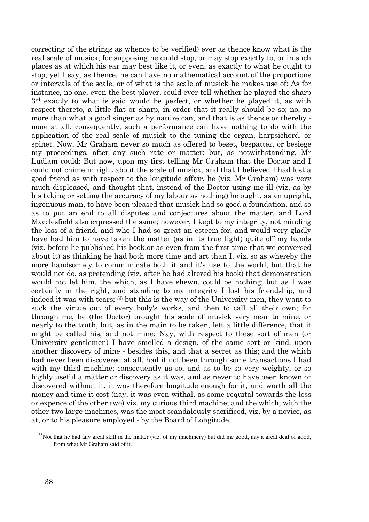correcting of the strings as whence to be verified) ever as thence know what is the real scale of musick; for supposing he could stop, or may stop exactly to, or in such places as at which his ear may best like it, or even, as exactly to what he ought to stop; yet I say, as thence, he can have no mathematical account of the proportions or intervals of the scale, or of what is the scale of musick he makes use of: As for instance, no one, even the best player, could ever tell whether he played the sharp 3rd exactly to what is said would be perfect, or whether he played it, as with respect thereto, a little flat or sharp, in order that it really should be so; no, no more than what a good singer as by nature can, and that is as thence or thereby none at all; consequently, such a performance can have nothing to do with the application of the real scale of musick to the tuning the organ, harpsichord, or spinet. Now, Mr Graham never so much as offered to beset, bespatter, or besiege my proceedings, after any such rate or matter; but, as notwithstanding, Mr Ludlam could: But now, upon my first telling Mr Graham that the Doctor and I could not chime in right about the scale of musick, and that I believed I had lost a good friend as with respect to the longitude affair, he (viz. Mr Graham) was very much displeased, and thought that, instead of the Doctor using me ill (viz. as by his taking or setting the accuracy of my labour as nothing) he ought, as an upright, ingenuous man, to have been pleased that musick had so good a foundation, and so as to put an end to all disputes and conjectures about the matter, and Lord Macclesfield also expressed the same; however, I kept to my integrity, not minding the loss of a friend, and who I had so great an esteem for, and would very gladly have had him to have taken the matter (as in its true light) quite off my hands (viz. before he published his book,or as even from the first time that we conversed about it) as thinking he had both more time and art than I, viz. so as whereby the more handsomely to communicate both it and it's use to the world; but that he would not do, as pretending (viz. after he had altered his book) that demonstration would not let him, the which, as I have shewn, could be nothing; but as I was certainly in the right, and standing to my integrity I lost his friendship, and indeed it was with tears; 55 but this is the way of the University-men, they want to suck the virtue out of every body's works, and then to call all their own; for through me, he (the Doctor) brought his scale of musick very near to mine, or nearly to the truth, but, as in the main to be taken, left a little difference, that it might be called his, and not mine: Nay, with respect to these sort of men (or University gentlemen) I have smelled a design, of the same sort or kind, upon another discovery of mine - besides this, and that a secret as this; and the which had never been discovered at all, had it not been through some transactions I had with my third machine; consequently as so, and as to be so very weighty, or so highly useful a matter or discovery as it was, and as never to have been known or discovered without it, it was therefore longitude enough for it, and worth all the money and time it cost (nay, it was even withal, as some requital towards the loss or expence of the other two) viz. my curious third machine; and the which, with the other two large machines, was the most scandalously sacrificed, viz. by a novice, as at, or to his pleasure employed - by the Board of Longitude.

 $55$ Not that he had any great skill in the matter (viz. of my machinery) but did me good, nay a great deal of good, from what Mr Graham said of it.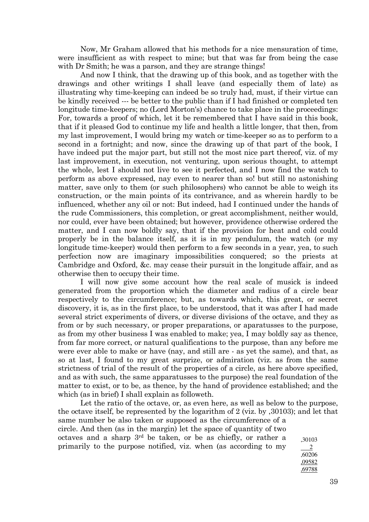Now, Mr Graham allowed that his methods for a nice mensuration of time, were insufficient as with respect to mine; but that was far from being the case with Dr Smith; he was a parson, and they are strange things!

 And now I think, that the drawing up of this book, and as together with the drawings and other writings I shall leave (and especially them of late) as illustrating why time-keeping can indeed be so truly had, must, if their virtue can be kindly received --- be better to the public than if I had finished or completed ten longitude time-keepers; no (Lord Morton's) chance to take place in the proceedings: For, towards a proof of which, let it be remembered that I have said in this book, that if it pleased God to continue my life and health a little longer, that then, from my last improvement, I would bring my watch or time-keeper so as to perform to a second in a fortnight; and now, since the drawing up of that part of the book, I have indeed put the major part, but still not the most nice part thereof, viz. of my last improvement, in execution, not venturing, upon serious thought, to attempt the whole, lest I should not live to see it perfected, and I now find the watch to perform as above expressed, nay even to nearer than so! but still no astonishing matter, save only to them (or such philosophers) who cannot be able to weigh its construction, or the main points of its contrivance, and as wherein hardly to be influenced, whether any oil or not: But indeed, had I continued under the hands of the rude Commissioners, this completion, or great accomplishment, neither would, nor could, ever have been obtained; but however, providence otherwise ordered the matter, and I can now boldly say, that if the provision for heat and cold could properly be in the balance itself, as it is in my pendulum, the watch (or my longitude time-keeper) would then perform to a few seconds in a year, yea, to such perfection now are imaginary impossibilities conquered; so the priests at Cambridge and Oxford, &c. may cease their pursuit in the longitude affair, and as otherwise then to occupy their time.

 I will now give some account how the real scale of musick is indeed generated from the proportion which the diameter and radius of a circle bear respectively to the circumference; but, as towards which, this great, or secret discovery, it is, as in the first place, to be understood, that it was after I had made several strict experiments of divers, or diverse divisions of the octave, and they as from or by such necessary, or proper preparations, or aparatusses to the purpose, as from my other business I was enabled to make; yea, I may boldly say as thence, from far more correct, or natural qualifications to the purpose, than any before me were ever able to make or have (nay, and still are - as yet the same), and that, as so at last, I found to my great surprize, or admiration (viz. as from the same strictness of trial of the result of the properties of a circle, as here above specified, and as with such, the same apparatusses to the purpose) the real foundation of the matter to exist, or to be, as thence, by the hand of providence established; and the which (as in brief) I shall explain as followeth.

Let the ratio of the octave, or, as even here, as well as below to the purpose, the octave itself, be represented by the logarithm of 2 (viz. by ,30103); and let that same number be also taken or supposed as the circumference of a circle. And then (as in the margin) let the space of quantity of two octaves and a sharp 3rd be taken, or be as chiefly, or rather a primarily to the purpose notified, viz. when (as according to my ,30103 2 ,60206

,09582 ,69788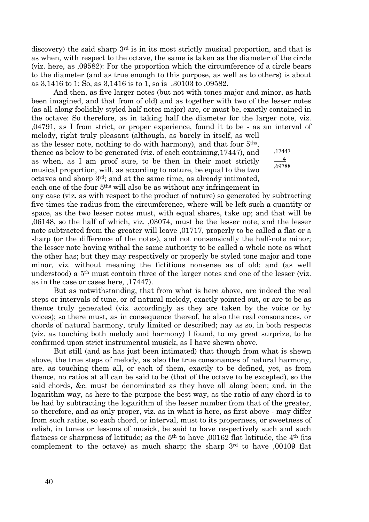discovery) the said sharp 3<sup>rd</sup> is in its most strictly musical proportion, and that is as when, with respect to the octave, the same is taken as the diameter of the circle (viz. here, as ,09582): For the proportion which the circumference of a circle bears to the diameter (and as true enough to this purpose, as well as to others) is about as 3,1416 to 1: So, as 3,1416 is to 1, so is ,30103 to ,09582.

 And then, as five larger notes (but not with tones major and minor, as hath been imagined, and that from of old) and as together with two of the lesser notes (as all along foolishly styled half notes major) are, or must be, exactly contained in the octave: So therefore, as in taking half the diameter for the larger note, viz. ,04791, as I from strict, or proper experience, found it to be - as an interval of

melody, right truly pleasant (although, as barely in itself, as well as the lesser note, nothing to do with harmony), and that four 5ths , thence as below to be generated (viz. of each containing,17447), and as when, as I am proof sure, to be then in their most strictly musical proportion, will, as according to nature, be equal to the two octaves and sharp 3rd; and at the same time, as already intimated, each one of the four 5ths will also be as without any infringement in

,17447 4 ,69788

any case (viz. as with respect to the product of nature) so generated by subtracting five times the radius from the circumference, where will be left such a quantity or space, as the two lesser notes must, with equal shares, take up; and that will be ,06148, so the half of which, viz. ,03074, must be the lesser note; and the lesser note subtracted from the greater will leave ,01717, properly to be called a flat or a sharp (or the difference of the notes), and not nonsensically the half-note minor; the lesser note having withal the same authority to be called a whole note as what the other has; but they may respectively or properly be styled tone major and tone minor, viz. without meaning the fictitious nonsense as of old; and (as well understood) a 5th must contain three of the larger notes and one of the lesser (viz. as in the case or cases here, ,17447).

 But as notwithstanding, that from what is here above, are indeed the real steps or intervals of tune, or of natural melody, exactly pointed out, or are to be as thence truly generated (viz. accordingly as they are taken by the voice or by voices); so there must, as in consequence thereof, be also the real consonances, or chords of natural harmony, truly limited or described; nay as so, in both respects (viz. as touching both melody and harmony) I found, to my great surprize, to be confirmed upon strict instrumental musick, as I have shewn above.

 But still (and as has just been intimated) that though from what is shewn above, the true steps of melody, as also the true consonances of natural harmony, are, as touching them all, or each of them, exactly to be defined, yet, as from thence, no ratios at all can be said to be (that of the octave to be excepted), so the said chords, &c. must be denominated as they have all along been; and, in the logarithm way, as here to the purpose the best way, as the ratio of any chord is to be had by subtracting the logarithm of the lesser number from that of the greater, so therefore, and as only proper, viz. as in what is here, as first above - may differ from such ratios, so each chord, or interval, must to its properness, or sweetness of relish, in tunes or lessons of musick, be said to have respectively such and such flatness or sharpness of latitude; as the  $5<sup>th</sup>$  to have ,00162 flat latitude, the  $4<sup>th</sup>$  (its complement to the octave) as much sharp; the sharp  $3<sup>rd</sup>$  to have ,00109 flat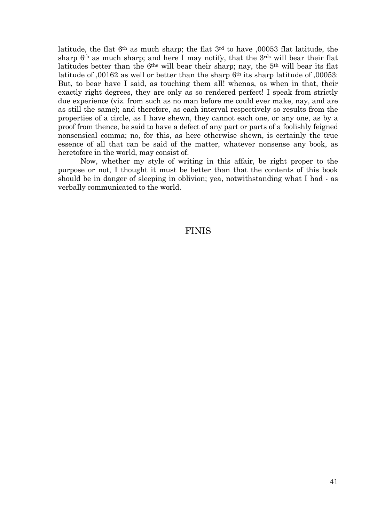latitude, the flat 6th as much sharp; the flat 3rd to have ,00053 flat latitude, the sharp  $6<sup>th</sup>$  as much sharp; and here I may notify, that the  $3<sup>rds</sup>$  will bear their flat latitudes better than the 6<sup>ths</sup> will bear their sharp; nay, the 5<sup>th</sup> will bear its flat latitude of ,00162 as well or better than the sharp 6th its sharp latitude of ,00053: But, to bear have I said, as touching them all! whenas, as when in that, their exactly right degrees, they are only as so rendered perfect! I speak from strictly due experience (viz. from such as no man before me could ever make, nay, and are as still the same); and therefore, as each interval respectively so results from the properties of a circle, as I have shewn, they cannot each one, or any one, as by a proof from thence, be said to have a defect of any part or parts of a foolishly feigned nonsensical comma; no, for this, as here otherwise shewn, is certainly the true essence of all that can be said of the matter, whatever nonsense any book, as heretofore in the world, may consist of.

 Now, whether my style of writing in this affair, be right proper to the purpose or not, I thought it must be better than that the contents of this book should be in danger of sleeping in oblivion; yea, notwithstanding what I had - as verbally communicated to the world.

### FINIS